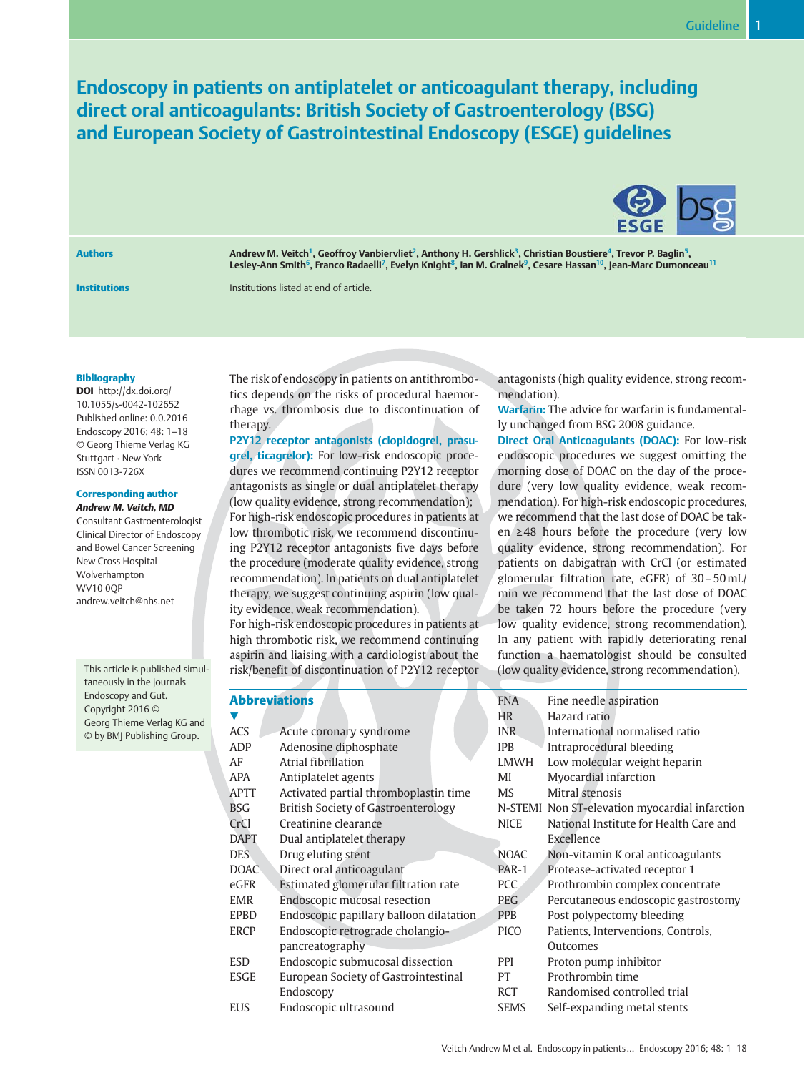Endoscopy in patients on antiplatelet or anticoagulant therapy, including direct oral anticoagulants: British Society of Gastroenterology (BSG) and European Society of Gastrointestinal Endoscopy (ESGE) guidelines



Authors **Andrew M. Veitch<sup>1</sup>, Geoffroy Vanbiervliet<sup>2</sup>, Anthony H. Gershlick<sup>3</sup>, Christian Boustiere<sup>4</sup>, Trevor P. Baglin<sup>5</sup>,** Lesley-Ann Smith<sup>6</sup>, Franco Radaelli<sup>7</sup>, Evelyn Knight<sup>8</sup>, Ian M. Gralnek<sup>9</sup>, Cesare Hassan<sup>10</sup>, Jean-Marc Dumonceau<sup>11</sup>

Institutions Institutions listed at end of article.

#### Bibliography

DOI http://dx.doi.org/ 10.1055/s-0042-102652 Published online: 0.0.2016 Endoscopy 2016; 48: 1–18 © Georg Thieme Verlag KG Stuttgart · New York ISSN 0013-726X

# Corresponding author

Andrew M. Veitch, MD Consultant Gastroenterologist Clinical Director of Endoscopy and Bowel Cancer Screening New Cross Hospital Wolverhampton WV10 0QP andrew.veitch@nhs.net

This article is published simultaneously in the journals Endoscopy and Gut. Copyright 2016 © Georg Thieme Verlag KG and © by BMJ Publishing Group.

The risk of endoscopy in patients on antithrombotics depends on the risks of procedural haemorrhage vs. thrombosis due to discontinuation of therapy.

P2Y12 receptor antagonists (clopidogrel, prasugrel, ticagrelor): For low-risk endoscopic procedures we recommend continuing P2Y12 receptor antagonists as single or dual antiplatelet therapy (low quality evidence, strong recommendation); For high-risk endoscopic procedures in patients at low thrombotic risk, we recommend discontinuing P2Y12 receptor antagonists five days before the procedure (moderate quality evidence, strong recommendation). In patients on dual antiplatelet therapy, we suggest continuing aspirin (low quality evidence, weak recommendation).

For high-risk endoscopic procedures in patients at high thrombotic risk, we recommend continuing aspirin and liaising with a cardiologist about the risk/benefit of discontinuation of P2Y12 receptor antagonists (high quality evidence, strong recommendation).

Warfarin: The advice for warfarin is fundamentally unchanged from BSG 2008 guidance.

Direct Oral Anticoagulants (DOAC): For low-risk endoscopic procedures we suggest omitting the morning dose of DOAC on the day of the procedure (very low quality evidence, weak recommendation). For high-risk endoscopic procedures, we recommend that the last dose of DOAC be taken ≥48 hours before the procedure (very low quality evidence, strong recommendation). For patients on dabigatran with CrCl (or estimated glomerular filtration rate, eGFR) of 30–50mL/ min we recommend that the last dose of DOAC be taken 72 hours before the procedure (very low quality evidence, strong recommendation). In any patient with rapidly deteriorating renal function a haematologist should be consulted (low quality evidence, strong recommendation).

| <b>Abbreviations</b> |                                         | <b>FNA</b>  | Fine needle aspiration                         |
|----------------------|-----------------------------------------|-------------|------------------------------------------------|
| V                    |                                         | <b>HR</b>   | Hazard ratio                                   |
| <b>ACS</b>           | Acute coronary syndrome                 | <b>INR</b>  | International normalised ratio                 |
| ADP                  | Adenosine diphosphate                   | <b>IPB</b>  | Intraprocedural bleeding                       |
| AF                   | Atrial fibrillation                     | <b>LMWH</b> | Low molecular weight heparin                   |
| APA                  | Antiplatelet agents                     | MI          | Myocardial infarction                          |
| APTT                 | Activated partial thromboplastin time   | MS          | Mitral stenosis                                |
| <b>BSG</b>           | British Society of Gastroenterology     |             | N-STEMI Non ST-elevation myocardial infarction |
| CrCl                 | Creatinine clearance                    | <b>NICE</b> | National Institute for Health Care and         |
| DAPT                 | Dual antiplatelet therapy               |             | Excellence                                     |
| DES.                 | Drug eluting stent                      | <b>NOAC</b> | Non-vitamin K oral anticoagulants              |
| <b>DOAC</b>          | Direct oral anticoagulant               | PAR-1       | Protease-activated receptor 1                  |
| eGFR                 | Estimated glomerular filtration rate    | PCC         | Prothrombin complex concentrate                |
| EMR                  | Endoscopic mucosal resection            | PEG.        | Percutaneous endoscopic gastrostomy            |
| <b>EPBD</b>          | Endoscopic papillary balloon dilatation | <b>PPB</b>  | Post polypectomy bleeding                      |
| ERCP                 | Endoscopic retrograde cholangio-        | PICO        | Patients, Interventions, Controls,             |
|                      | pancreatography                         |             | Outcomes                                       |
| ESD                  | Endoscopic submucosal dissection        | PPI         | Proton pump inhibitor                          |
| ESGE                 | European Society of Gastrointestinal    | PT          | Prothrombin time                               |
|                      | Endoscopy                               | <b>RCT</b>  | Randomised controlled trial                    |
| <b>EUS</b>           | Endoscopic ultrasound                   | <b>SEMS</b> | Self-expanding metal stents                    |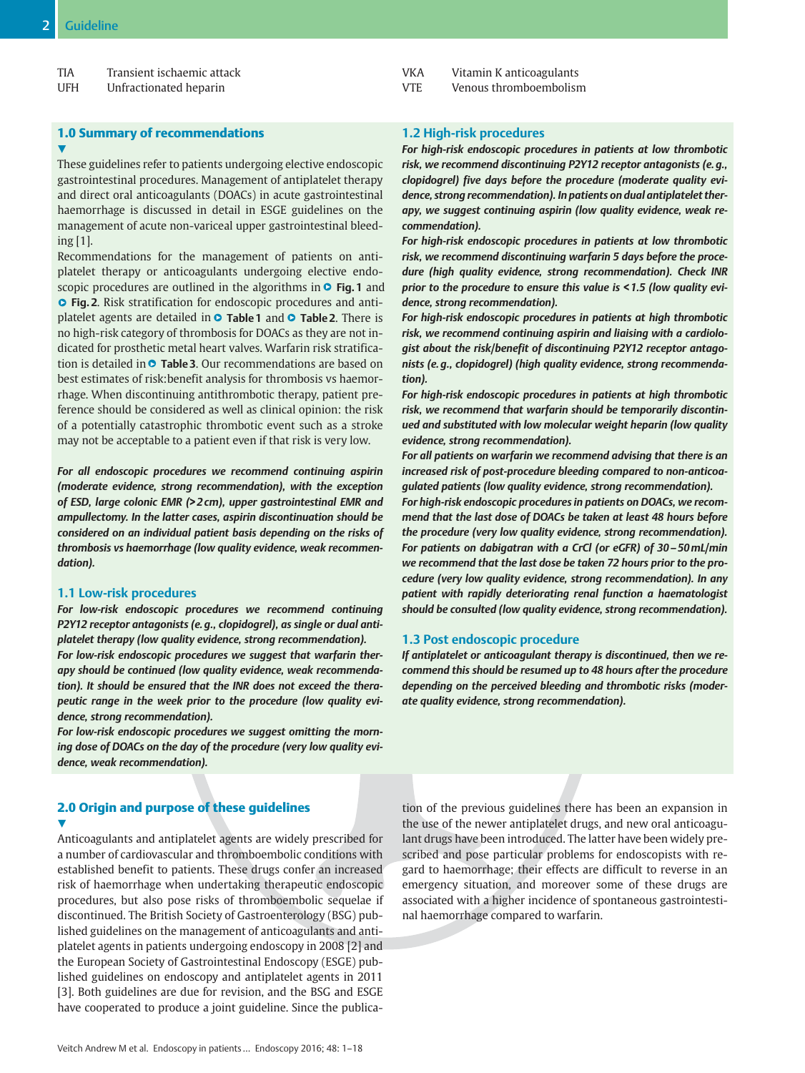| <b>TIA</b><br>Transient ischaemic attack |  |  |
|------------------------------------------|--|--|
|------------------------------------------|--|--|

UFH Unfractionated heparin

# 1.0 Summary of recommendations  $\blacktriangledown$

These guidelines refer to patients undergoing elective endoscopic gastrointestinal procedures. Management of antiplatelet therapy and direct oral anticoagulants (DOACs) in acute gastrointestinal haemorrhage is discussed in detail in ESGE guidelines on the management of acute non-variceal upper gastrointestinal bleeding [1].

Recommendations for the management of patients on antiplatelet therapy or anticoagulants undergoing elective endoscopic procedures are outlined in the algorithms in **O Fig. 1** and **• Fig. 2**. Risk stratification for endoscopic procedures and antiplatelet agents are detailed in **O Table 1** and **O Table 2**. There is no high-risk category of thrombosis for DOACs as they are not indicated for prosthetic metal heart valves. Warfarin risk stratification is detailed in **© Table 3.** Our recommendations are based on best estimates of risk:benefit analysis for thrombosis vs haemorrhage. When discontinuing antithrombotic therapy, patient preference should be considered as well as clinical opinion: the risk of a potentially catastrophic thrombotic event such as a stroke may not be acceptable to a patient even if that risk is very low.

For all endoscopic procedures we recommend continuing aspirin (moderate evidence, strong recommendation), with the exception of ESD, large colonic EMR (> 2 cm), upper gastrointestinal EMR and ampullectomy. In the latter cases, aspirin discontinuation should be considered on an individual patient basis depending on the risks of thrombosis vs haemorrhage (low quality evidence, weak recommendation).

# 1.1 Low-risk procedures

For low-risk endoscopic procedures we recommend continuing P2Y12 receptor antagonists (e. g., clopidogrel), as single or dual antiplatelet therapy (low quality evidence, strong recommendation).

For low-risk endoscopic procedures we suggest that warfarin therapy should be continued (low quality evidence, weak recommendation). It should be ensured that the INR does not exceed the therapeutic range in the week prior to the procedure (low quality evidence, strong recommendation).

For low-risk endoscopic procedures we suggest omitting the morning dose of DOACs on the day of the procedure (very low quality evidence, weak recommendation).

# 2.0 Origin and purpose of these guidelines v,

Anticoagulants and antiplatelet agents are widely prescribed for a number of cardiovascular and thromboembolic conditions with established benefit to patients. These drugs confer an increased risk of haemorrhage when undertaking therapeutic endoscopic procedures, but also pose risks of thromboembolic sequelae if discontinued. The British Society of Gastroenterology (BSG) published guidelines on the management of anticoagulants and antiplatelet agents in patients undergoing endoscopy in 2008 [2] and the European Society of Gastrointestinal Endoscopy (ESGE) published guidelines on endoscopy and antiplatelet agents in 2011 [3]. Both guidelines are due for revision, and the BSG and ESGE have cooperated to produce a joint guideline. Since the publicaVKA Vitamin K anticoagulants

VTE Venous thromboembolism

# 1.2 High-risk procedures

For high-risk endoscopic procedures in patients at low thrombotic risk, we recommend discontinuing P2Y12 receptor antagonists (e. g., clopidogrel) five days before the procedure (moderate quality evidence, strong recommendation). In patients on dual antiplatelet therapy, we suggest continuing aspirin (low quality evidence, weak recommendation).

For high-risk endoscopic procedures in patients at low thrombotic risk, we recommend discontinuing warfarin 5 days before the procedure (high quality evidence, strong recommendation). Check INR prior to the procedure to ensure this value is < 1.5 (low quality evidence, strong recommendation).

For high-risk endoscopic procedures in patients at high thrombotic risk, we recommend continuing aspirin and liaising with a cardiologist about the risk/benefit of discontinuing P2Y12 receptor antagonists (e. g., clopidogrel) (high quality evidence, strong recommendation).

For high-risk endoscopic procedures in patients at high thrombotic risk, we recommend that warfarin should be temporarily discontinued and substituted with low molecular weight heparin (low quality evidence, strong recommendation).

For all patients on warfarin we recommend advising that there is an increased risk of post-procedure bleeding compared to non-anticoagulated patients (low quality evidence, strong recommendation).

For high-risk endoscopic procedures in patients on DOACs, we recommend that the last dose of DOACs be taken at least 48 hours before the procedure (very low quality evidence, strong recommendation). For patients on dabigatran with a CrCl (or eGFR) of 30–50mL/min we recommend that the last dose be taken 72 hours prior to the procedure (very low quality evidence, strong recommendation). In any patient with rapidly deteriorating renal function a haematologist should be consulted (low quality evidence, strong recommendation).

#### 1.3 Post endoscopic procedure

If antiplatelet or anticoagulant therapy is discontinued, then we recommend this should be resumed up to 48 hours after the procedure depending on the perceived bleeding and thrombotic risks (moderate quality evidence, strong recommendation).

tion of the previous guidelines there has been an expansion in the use of the newer antiplatelet drugs, and new oral anticoagulant drugs have been introduced. The latter have been widely prescribed and pose particular problems for endoscopists with regard to haemorrhage; their effects are difficult to reverse in an emergency situation, and moreover some of these drugs are associated with a higher incidence of spontaneous gastrointestinal haemorrhage compared to warfarin.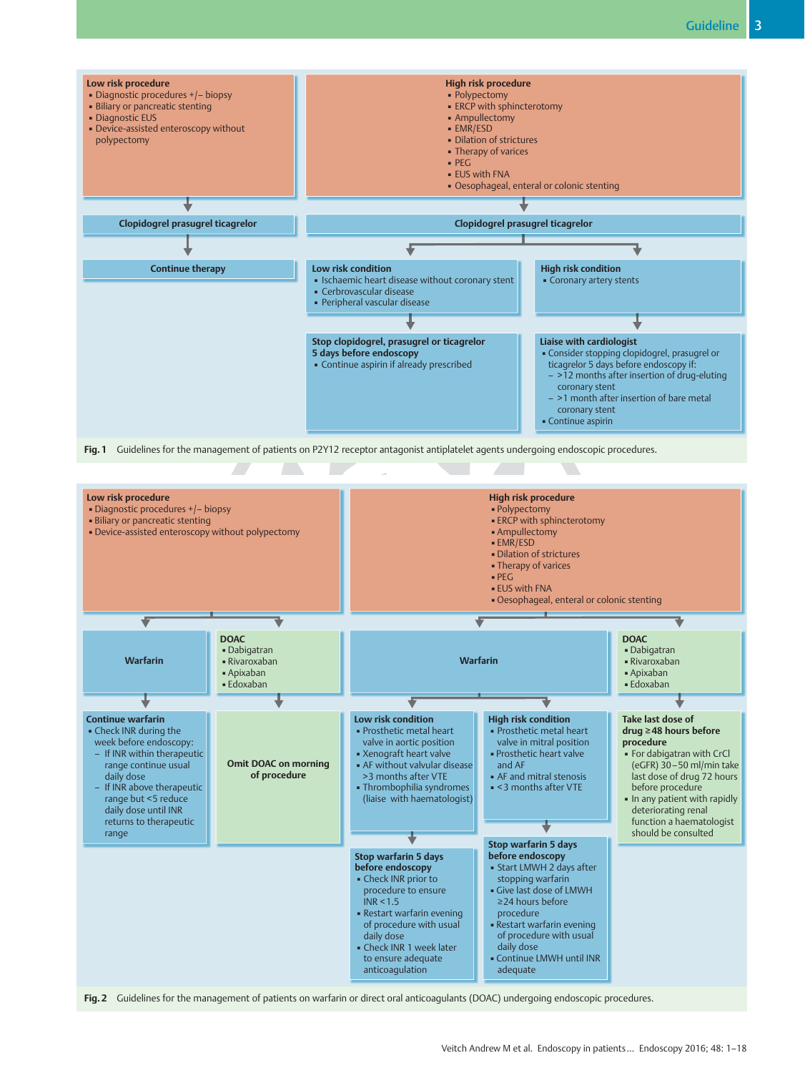

Fig. 1 Guidelines for the management of patients on P2Y12 receptor antagonist antiplatelet agents undergoing endoscopic procedures.



Veitch Andrew M et al. Endoscopy in patients… Endoscopy 2016; 48: 1–18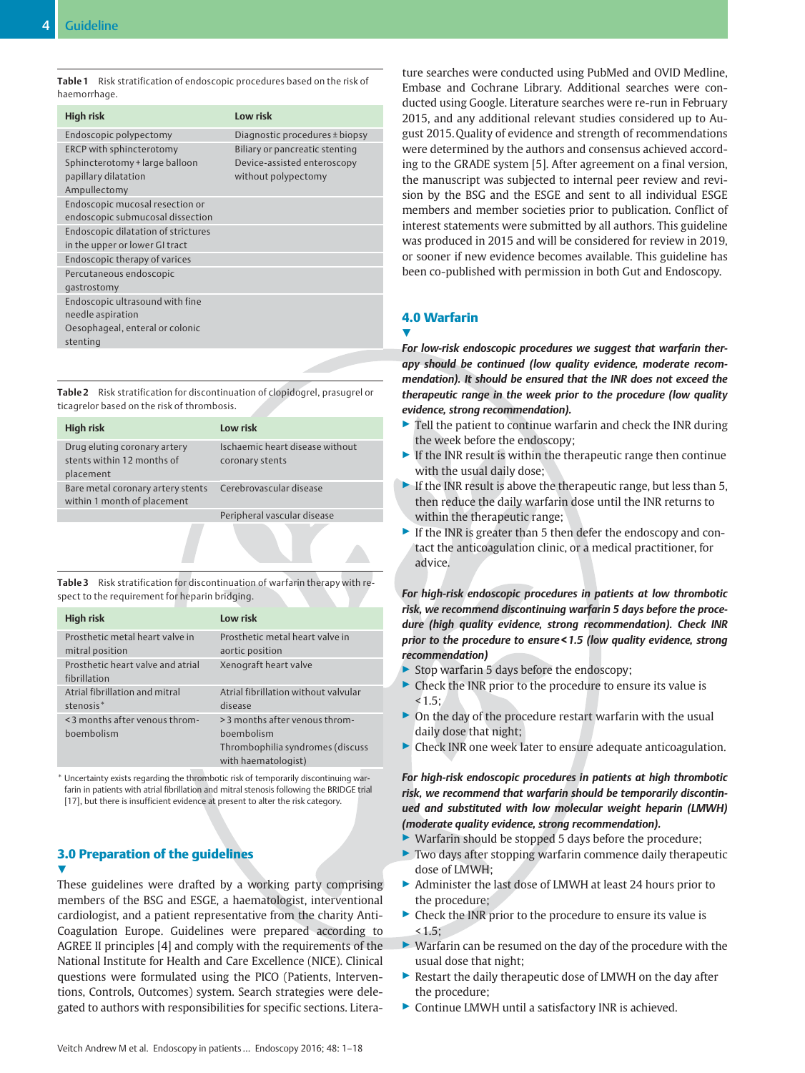|              | Table 1 Risk stratification of endoscopic procedures based on the risk of |  |
|--------------|---------------------------------------------------------------------------|--|
| haemorrhage. |                                                                           |  |

| High risk                           | Low risk                       |
|-------------------------------------|--------------------------------|
| Endoscopic polypectomy              | Diagnostic procedures ± biopsy |
| ERCP with sphincterotomy            | Biliary or pancreatic stenting |
| Sphincterotomy + large balloon      | Device-assisted enteroscopy    |
| papillary dilatation                | without polypectomy            |
| Ampullectomy                        |                                |
| Endoscopic mucosal resection or     |                                |
| endoscopic submucosal dissection    |                                |
| Endoscopic dilatation of strictures |                                |
| in the upper or lower GI tract      |                                |
| Endoscopic therapy of varices       |                                |
| Percutaneous endoscopic             |                                |
| gastrostomy                         |                                |
| Endoscopic ultrasound with fine     |                                |
| needle aspiration                   |                                |
| Oesophageal, enteral or colonic     |                                |
| stenting                            |                                |
|                                     |                                |

Table 2 Risk stratification for discontinuation of clopidogrel, prasugrel or ticagrelor based on the risk of thrombosis.

| High risk                                                               | Low risk                                           |
|-------------------------------------------------------------------------|----------------------------------------------------|
| Drug eluting coronary artery<br>stents within 12 months of<br>placement | Ischaemic heart disease without<br>coronary stents |
| Bare metal coronary artery stents<br>within 1 month of placement        | Cerebrovascular disease                            |
|                                                                         | Peripheral vascular disease                        |

Table 3 Risk stratification for discontinuation of warfarin therapy with respect to the requirement for heparin bridging.

| <b>High risk</b>                                        | <b>Low risk</b>                                                                                         |
|---------------------------------------------------------|---------------------------------------------------------------------------------------------------------|
| Prosthetic metal heart valve in<br>mitral position      | Prosthetic metal heart valve in<br>aortic position                                                      |
| Prosthetic heart valve and atrial<br>fibrillation       | Xenograft heart valve                                                                                   |
| Atrial fibrillation and mitral<br>stenosis <sup>*</sup> | Atrial fibrillation without valvular<br>disease                                                         |
| <3 months after venous throm-<br>boembolism             | > 3 months after venous throm-<br>boembolism<br>Thrombophilia syndromes (discuss<br>with haematologist) |

\* Uncertainty exists regarding the thrombotic risk of temporarily discontinuing warfarin in patients with atrial fibrillation and mitral stenosis following the BRIDGE trial [17], but there is insufficient evidence at present to alter the risk category.

# 3.0 Preparation of the guidelines v,

These guidelines were drafted by a working party comprising members of the BSG and ESGE, a haematologist, interventional cardiologist, and a patient representative from the charity Anti-Coagulation Europe. Guidelines were prepared according to AGREE II principles [4] and comply with the requirements of the National Institute for Health and Care Excellence (NICE). Clinical questions were formulated using the PICO (Patients, Interventions, Controls, Outcomes) system. Search strategies were delegated to authors with responsibilities for specific sections. Literature searches were conducted using PubMed and OVID Medline, Embase and Cochrane Library. Additional searches were conducted using Google. Literature searches were re-run in February 2015, and any additional relevant studies considered up to August 2015. Quality of evidence and strength of recommendations were determined by the authors and consensus achieved according to the GRADE system [5]. After agreement on a final version, the manuscript was subjected to internal peer review and revision by the BSG and the ESGE and sent to all individual ESGE members and member societies prior to publication. Conflict of interest statements were submitted by all authors. This guideline was produced in 2015 and will be considered for review in 2019, or sooner if new evidence becomes available. This guideline has been co-published with permission in both Gut and Endoscopy.

# 4.0 Warfarin

**V** 

For low-risk endoscopic procedures we suggest that warfarin therapy should be continued (low quality evidence, moderate recommendation). It should be ensured that the INR does not exceed the therapeutic range in the week prior to the procedure (low quality evidence, strong recommendation).

- ▶ Tell the patient to continue warfarin and check the INR during the week before the endoscopy;
- $\blacktriangleright$  If the INR result is within the therapeutic range then continue with the usual daily dose;
- $\blacktriangleright$  If the INR result is above the therapeutic range, but less than 5, then reduce the daily warfarin dose until the INR returns to within the therapeutic range;
- ▶ If the INR is greater than 5 then defer the endoscopy and contact the anticoagulation clinic, or a medical practitioner, for advice.

For high-risk endoscopic procedures in patients at low thrombotic risk, we recommend discontinuing warfarin 5 days before the procedure (high quality evidence, strong recommendation). Check INR prior to the procedure to ensure < 1.5 (low quality evidence, strong recommendation)

- ▶ Stop warfarin 5 days before the endoscopy;
- ▶ Check the INR prior to the procedure to ensure its value is  $< 1.5$ ;
- $\triangleright$  On the day of the procedure restart warfarin with the usual daily dose that night;
- ▶ Check INR one week later to ensure adequate anticoagulation.

For high-risk endoscopic procedures in patients at high thrombotic risk, we recommend that warfarin should be temporarily discontinued and substituted with low molecular weight heparin (LMWH) (moderate quality evidence, strong recommendation).

- ▶ Warfarin should be stopped 5 days before the procedure;
- $\triangleright$  Two days after stopping warfarin commence daily therapeutic dose of LMWH;
- ▶ Administer the last dose of LMWH at least 24 hours prior to the procedure;
- $\triangleright$  Check the INR prior to the procedure to ensure its value is  $< 1.5$ ;
- ▶ Warfarin can be resumed on the day of the procedure with the usual dose that night;
- ▶ Restart the daily therapeutic dose of LMWH on the day after the procedure;
- ▶ Continue LMWH until a satisfactory INR is achieved.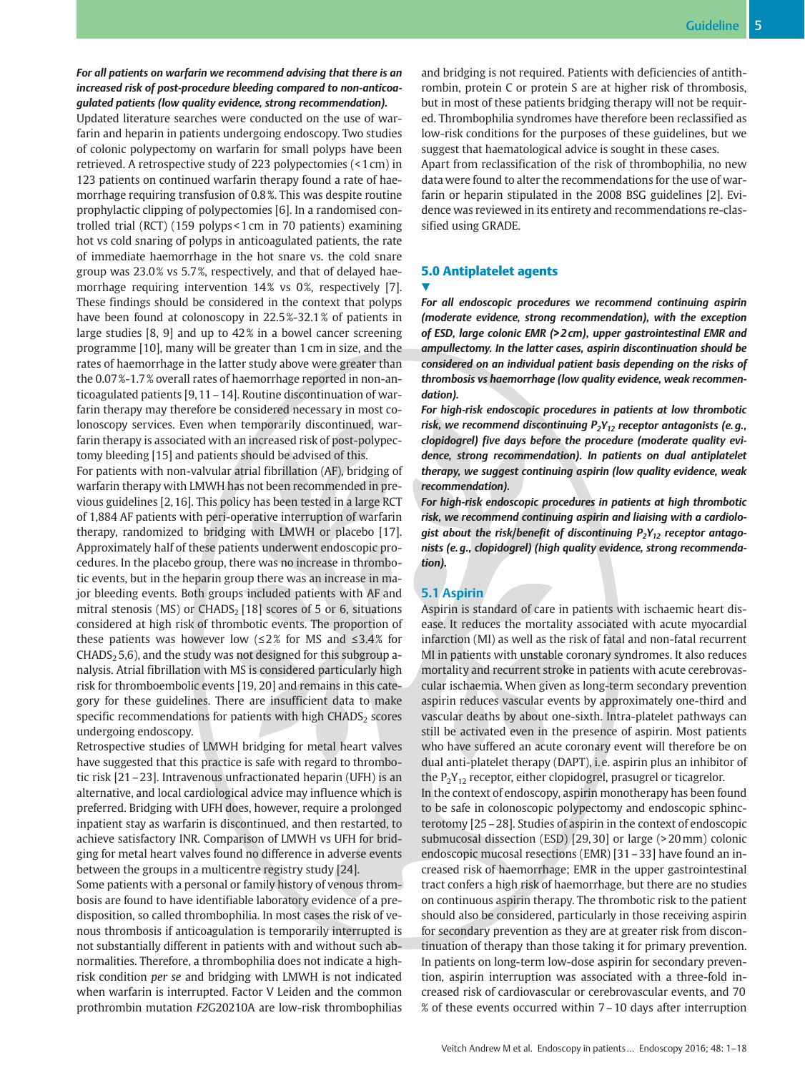# For all patients on warfarin we recommend advising that there is an increased risk of post-procedure bleeding compared to non-anticoagulated patients (low quality evidence, strong recommendation).

Updated literature searches were conducted on the use of warfarin and heparin in patients undergoing endoscopy. Two studies of colonic polypectomy on warfarin for small polyps have been retrieved. A retrospective study of 223 polypectomies (< 1 cm) in 123 patients on continued warfarin therapy found a rate of haemorrhage requiring transfusion of 0.8 %. This was despite routine prophylactic clipping of polypectomies [6]. In a randomised controlled trial (RCT) (159 polyps < 1 cm in 70 patients) examining hot vs cold snaring of polyps in anticoagulated patients, the rate of immediate haemorrhage in the hot snare vs. the cold snare group was 23.0 % vs 5.7 %, respectively, and that of delayed haemorrhage requiring intervention 14% vs 0%, respectively [7]. These findings should be considered in the context that polyps have been found at colonoscopy in 22.5 %-32.1 % of patients in large studies [8, 9] and up to 42 % in a bowel cancer screening programme [10], many will be greater than 1 cm in size, and the rates of haemorrhage in the latter study above were greater than the 0.07 %-1.7 % overall rates of haemorrhage reported in non-anticoagulated patients [9, 11–14]. Routine discontinuation of warfarin therapy may therefore be considered necessary in most colonoscopy services. Even when temporarily discontinued, warfarin therapy is associated with an increased risk of post-polypectomy bleeding [15] and patients should be advised of this.

For patients with non-valvular atrial fibrillation (AF), bridging of warfarin therapy with LMWH has not been recommended in previous guidelines [2, 16]. This policy has been tested in a large RCT of 1,884 AF patients with peri-operative interruption of warfarin therapy, randomized to bridging with LMWH or placebo [17]. Approximately half of these patients underwent endoscopic procedures. In the placebo group, there was no increase in thrombotic events, but in the heparin group there was an increase in major bleeding events. Both groups included patients with AF and mitral stenosis (MS) or  $CHADS<sub>2</sub>$  [18] scores of 5 or 6, situations considered at high risk of thrombotic events. The proportion of these patients was however low ( $\leq$ 2% for MS and  $\leq$ 3.4% for  $CHADS<sub>2</sub> 5, 6$ ), and the study was not designed for this subgroup analysis. Atrial fibrillation with MS is considered particularly high risk for thromboembolic events [19, 20] and remains in this category for these guidelines. There are insufficient data to make specific recommendations for patients with high  $CHADS<sub>2</sub>$  scores undergoing endoscopy.

Retrospective studies of LMWH bridging for metal heart valves have suggested that this practice is safe with regard to thrombotic risk [21–23]. Intravenous unfractionated heparin (UFH) is an alternative, and local cardiological advice may influence which is preferred. Bridging with UFH does, however, require a prolonged inpatient stay as warfarin is discontinued, and then restarted, to achieve satisfactory INR. Comparison of LMWH vs UFH for bridging for metal heart valves found no difference in adverse events between the groups in a multicentre registry study [24].

Some patients with a personal or family history of venous thrombosis are found to have identifiable laboratory evidence of a predisposition, so called thrombophilia. In most cases the risk of venous thrombosis if anticoagulation is temporarily interrupted is not substantially different in patients with and without such abnormalities. Therefore, a thrombophilia does not indicate a highrisk condition per se and bridging with LMWH is not indicated when warfarin is interrupted. Factor V Leiden and the common prothrombin mutation F2G20210A are low-risk thrombophilias and bridging is not required. Patients with deficiencies of antithrombin, protein C or protein S are at higher risk of thrombosis, but in most of these patients bridging therapy will not be required. Thrombophilia syndromes have therefore been reclassified as low-risk conditions for the purposes of these guidelines, but we suggest that haematological advice is sought in these cases.

Apart from reclassification of the risk of thrombophilia, no new data were found to alter the recommendations for the use of warfarin or heparin stipulated in the 2008 BSG guidelines [2]. Evidence was reviewed in its entirety and recommendations re-classified using GRADE.

# 5.0 Antiplatelet agents <u>V</u>

For all endoscopic procedures we recommend continuing aspirin (moderate evidence, strong recommendation), with the exception of ESD, large colonic EMR (> 2 cm), upper gastrointestinal EMR and ampullectomy. In the latter cases, aspirin discontinuation should be considered on an individual patient basis depending on the risks of thrombosis vs haemorrhage (low quality evidence, weak recommendation).

For high-risk endoscopic procedures in patients at low thrombotic risk, we recommend discontinuing  $P_2Y_{12}$  receptor antagonists (e.g., clopidogrel) five days before the procedure (moderate quality evidence, strong recommendation). In patients on dual antiplatelet therapy, we suggest continuing aspirin (low quality evidence, weak recommendation).

For high-risk endoscopic procedures in patients at high thrombotic risk, we recommend continuing aspirin and liaising with a cardiologist about the risk/benefit of discontinuing  $P_2Y_{12}$  receptor antagonists (e. g., clopidogrel) (high quality evidence, strong recommendation).

# 5.1 Aspirin

Aspirin is standard of care in patients with ischaemic heart disease. It reduces the mortality associated with acute myocardial infarction (MI) as well as the risk of fatal and non-fatal recurrent MI in patients with unstable coronary syndromes. It also reduces mortality and recurrent stroke in patients with acute cerebrovascular ischaemia. When given as long-term secondary prevention aspirin reduces vascular events by approximately one-third and vascular deaths by about one-sixth. Intra-platelet pathways can still be activated even in the presence of aspirin. Most patients who have suffered an acute coronary event will therefore be on dual anti-platelet therapy (DAPT), i. e. aspirin plus an inhibitor of the  $P_2Y_{12}$  receptor, either clopidogrel, prasugrel or ticagrelor.

In the context of endoscopy, aspirin monotherapy has been found to be safe in colonoscopic polypectomy and endoscopic sphincterotomy [25–28]. Studies of aspirin in the context of endoscopic submucosal dissection (ESD) [29, 30] or large (> 20mm) colonic endoscopic mucosal resections (EMR) [31–33] have found an increased risk of haemorrhage; EMR in the upper gastrointestinal tract confers a high risk of haemorrhage, but there are no studies on continuous aspirin therapy. The thrombotic risk to the patient should also be considered, particularly in those receiving aspirin for secondary prevention as they are at greater risk from discontinuation of therapy than those taking it for primary prevention. In patients on long-term low-dose aspirin for secondary prevention, aspirin interruption was associated with a three-fold increased risk of cardiovascular or cerebrovascular events, and 70 % of these events occurred within 7–10 days after interruption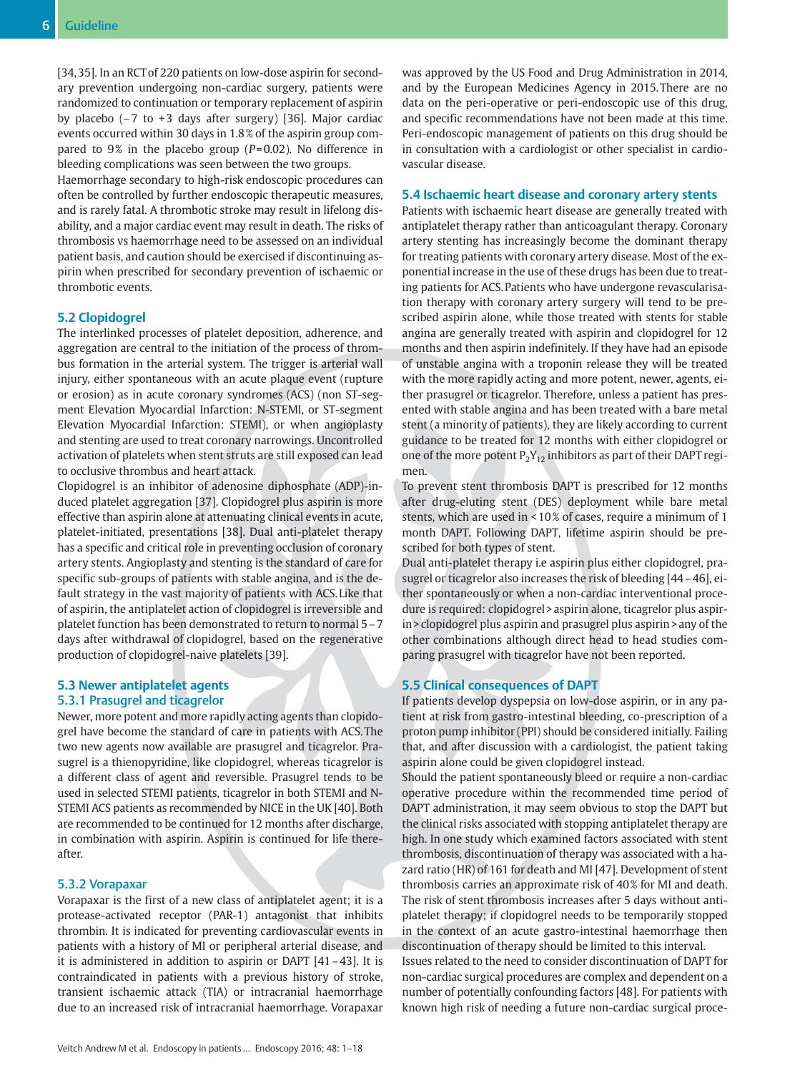[34, 35]. In an RCT of 220 patients on low-dose aspirin for secondary prevention undergoing non-cardiac surgery, patients were randomized to continuation or temporary replacement of aspirin by placebo  $(-7 \text{ to } +3 \text{ days after surgery})$  [36]. Major cardiac events occurred within 30 days in 1.8 % of the aspirin group compared to 9% in the placebo group ( $P=0.02$ ). No difference in bleeding complications was seen between the two groups.

Haemorrhage secondary to high-risk endoscopic procedures can often be controlled by further endoscopic therapeutic measures, and is rarely fatal. A thrombotic stroke may result in lifelong disability, and a major cardiac event may result in death. The risks of thrombosis vs haemorrhage need to be assessed on an individual patient basis, and caution should be exercised if discontinuing aspirin when prescribed for secondary prevention of ischaemic or thrombotic events.

# 5.2 Clopidogrel

The interlinked processes of platelet deposition, adherence, and aggregation are central to the initiation of the process of thrombus formation in the arterial system. The trigger is arterial wall injury, either spontaneous with an acute plaque event (rupture or erosion) as in acute coronary syndromes (ACS) (non ST-segment Elevation Myocardial Infarction: N-STEMI, or ST-segment Elevation Myocardial Infarction: STEMI), or when angioplasty and stenting are used to treat coronary narrowings. Uncontrolled activation of platelets when stent struts are still exposed can lead to occlusive thrombus and heart attack.

Clopidogrel is an inhibitor of adenosine diphosphate (ADP)-induced platelet aggregation [37]. Clopidogrel plus aspirin is more effective than aspirin alone at attenuating clinical events in acute, platelet-initiated, presentations [38]. Dual anti-platelet therapy has a specific and critical role in preventing occlusion of coronary artery stents. Angioplasty and stenting is the standard of care for specific sub-groups of patients with stable angina, and is the default strategy in the vast majority of patients with ACS. Like that of aspirin, the antiplatelet action of clopidogrel is irreversible and platelet function has been demonstrated to return to normal 5–7 days after withdrawal of clopidogrel, based on the regenerative production of clopidogrel-naive platelets [39].

# 5.3 Newer antiplatelet agents 5.3.1 Prasugrel and ticagrelor

Newer, more potent and more rapidly acting agents than clopidogrel have become the standard of care in patients with ACS. The two new agents now available are prasugrel and ticagrelor. Prasugrel is a thienopyridine, like clopidogrel, whereas ticagrelor is a different class of agent and reversible. Prasugrel tends to be used in selected STEMI patients, ticagrelor in both STEMI and N-STEMI ACS patients as recommended by NICE in the UK [40]. Both are recommended to be continued for 12 months after discharge, in combination with aspirin. Aspirin is continued for life thereafter.

#### 5.3.2 Vorapaxar

Vorapaxar is the first of a new class of antiplatelet agent; it is a protease-activated receptor (PAR-1) antagonist that inhibits thrombin. It is indicated for preventing cardiovascular events in patients with a history of MI or peripheral arterial disease, and it is administered in addition to aspirin or DAPT [41–43]. It is contraindicated in patients with a previous history of stroke, transient ischaemic attack (TIA) or intracranial haemorrhage due to an increased risk of intracranial haemorrhage. Vorapaxar was approved by the US Food and Drug Administration in 2014, and by the European Medicines Agency in 2015. There are no data on the peri-operative or peri-endoscopic use of this drug, and specific recommendations have not been made at this time. Peri-endoscopic management of patients on this drug should be in consultation with a cardiologist or other specialist in cardiovascular disease.

## 5.4 Ischaemic heart disease and coronary artery stents

Patients with ischaemic heart disease are generally treated with antiplatelet therapy rather than anticoagulant therapy. Coronary artery stenting has increasingly become the dominant therapy for treating patients with coronary artery disease. Most of the exponential increase in the use of these drugs has been due to treating patients for ACS. Patients who have undergone revascularisation therapy with coronary artery surgery will tend to be prescribed aspirin alone, while those treated with stents for stable angina are generally treated with aspirin and clopidogrel for 12 months and then aspirin indefinitely. If they have had an episode of unstable angina with a troponin release they will be treated with the more rapidly acting and more potent, newer, agents, either prasugrel or ticagrelor. Therefore, unless a patient has presented with stable angina and has been treated with a bare metal stent (a minority of patients), they are likely according to current guidance to be treated for 12 months with either clopidogrel or one of the more potent  $P_2Y_{12}$  inhibitors as part of their DAPT regimen.

To prevent stent thrombosis DAPT is prescribed for 12 months after drug-eluting stent (DES) deployment while bare metal stents, which are used in < 10 % of cases, require a minimum of 1 month DAPT. Following DAPT, lifetime aspirin should be prescribed for both types of stent.

Dual anti-platelet therapy i.e aspirin plus either clopidogrel, prasugrel or ticagrelor also increases the risk of bleeding [44–46], either spontaneously or when a non-cardiac interventional procedure is required: clopidogrel > aspirin alone, ticagrelor plus aspirin > clopidogrel plus aspirin and prasugrel plus aspirin > any of the other combinations although direct head to head studies comparing prasugrel with ticagrelor have not been reported.

# 5.5 Clinical consequences of DAPT

If patients develop dyspepsia on low-dose aspirin, or in any patient at risk from gastro-intestinal bleeding, co-prescription of a proton pump inhibitor (PPI) should be considered initially. Failing that, and after discussion with a cardiologist, the patient taking aspirin alone could be given clopidogrel instead.

Should the patient spontaneously bleed or require a non-cardiac operative procedure within the recommended time period of DAPT administration, it may seem obvious to stop the DAPT but the clinical risks associated with stopping antiplatelet therapy are high. In one study which examined factors associated with stent thrombosis, discontinuation of therapy was associated with a hazard ratio (HR) of 161 for death and MI [47]. Development of stent thrombosis carries an approximate risk of 40 % for MI and death. The risk of stent thrombosis increases after 5 days without antiplatelet therapy; if clopidogrel needs to be temporarily stopped in the context of an acute gastro-intestinal haemorrhage then discontinuation of therapy should be limited to this interval.

Issues related to the need to consider discontinuation of DAPT for non-cardiac surgical procedures are complex and dependent on a number of potentially confounding factors [48]. For patients with known high risk of needing a future non-cardiac surgical proce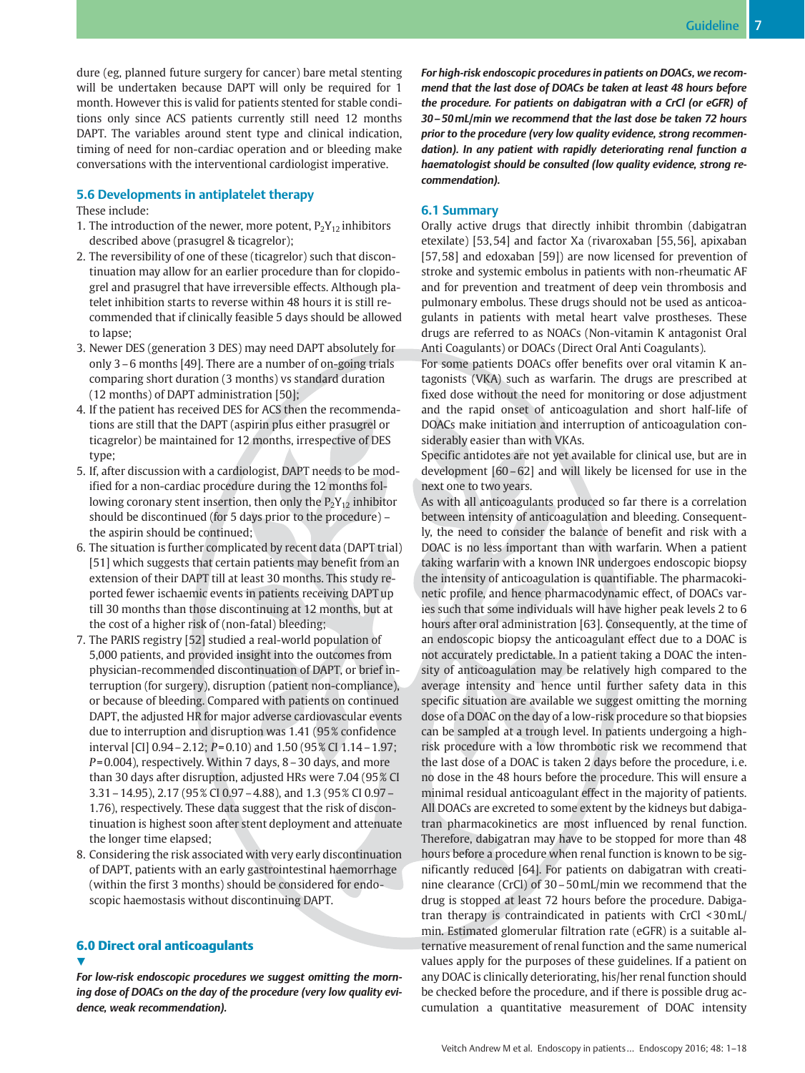dure (eg, planned future surgery for cancer) bare metal stenting will be undertaken because DAPT will only be required for 1 month. However this is valid for patients stented for stable conditions only since ACS patients currently still need 12 months DAPT. The variables around stent type and clinical indication, timing of need for non-cardiac operation and or bleeding make conversations with the interventional cardiologist imperative.

# 5.6 Developments in antiplatelet therapy

These include:

- 1. The introduction of the newer, more potent,  $P_2Y_{12}$  inhibitors described above (prasugrel & ticagrelor);
- 2. The reversibility of one of these (ticagrelor) such that discontinuation may allow for an earlier procedure than for clopidogrel and prasugrel that have irreversible effects. Although platelet inhibition starts to reverse within 48 hours it is still recommended that if clinically feasible 5 days should be allowed to lapse;
- 3. Newer DES (generation 3 DES) may need DAPT absolutely for only 3–6 months [49]. There are a number of on-going trials comparing short duration (3 months) vs standard duration (12 months) of DAPT administration [50];
- 4. If the patient has received DES for ACS then the recommendations are still that the DAPT (aspirin plus either prasugrel or ticagrelor) be maintained for 12 months, irrespective of DES type;
- 5. If, after discussion with a cardiologist, DAPT needs to be modified for a non-cardiac procedure during the 12 months following coronary stent insertion, then only the  $P_2Y_{12}$  inhibitor should be discontinued (for 5 days prior to the procedure) – the aspirin should be continued;
- 6. The situation is further complicated by recent data (DAPT trial) [51] which suggests that certain patients may benefit from an extension of their DAPT till at least 30 months. This study reported fewer ischaemic events in patients receiving DAPT up till 30 months than those discontinuing at 12 months, but at the cost of a higher risk of (non-fatal) bleeding;
- 7. The PARIS registry [52] studied a real-world population of 5,000 patients, and provided insight into the outcomes from physician-recommended discontinuation of DAPT, or brief interruption (for surgery), disruption (patient non-compliance), or because of bleeding. Compared with patients on continued DAPT, the adjusted HR for major adverse cardiovascular events due to interruption and disruption was 1.41 (95 % confidence interval [CI]  $0.94 - 2.12$ ;  $P = 0.10$  and  $1.50$  (95% CI  $1.14 - 1.97$ ;  $P = 0.004$ ), respectively. Within 7 days, 8 – 30 days, and more than 30 days after disruption, adjusted HRs were 7.04 (95 % CI 3.31–14.95), 2.17 (95 % CI 0.97–4.88), and 1.3 (95 % CI 0.97– 1.76), respectively. These data suggest that the risk of discontinuation is highest soon after stent deployment and attenuate the longer time elapsed;
- 8. Considering the risk associated with very early discontinuation of DAPT, patients with an early gastrointestinal haemorrhage (within the first 3 months) should be considered for endoscopic haemostasis without discontinuing DAPT.

# 6.0 Direct oral anticoagulants  $\blacktriangledown$

For low-risk endoscopic procedures we suggest omitting the morning dose of DOACs on the day of the procedure (very low quality evidence, weak recommendation).

For high-risk endoscopic procedures in patients on DOACs, we recommend that the last dose of DOACs be taken at least 48 hours before the procedure. For patients on dabigatran with a CrCl (or eGFR) of 30–50mL/min we recommend that the last dose be taken 72 hours prior to the procedure (very low quality evidence, strong recommendation). In any patient with rapidly deteriorating renal function a haematologist should be consulted (low quality evidence, strong recommendation).

# 6.1 Summary

Orally active drugs that directly inhibit thrombin (dabigatran etexilate) [53, 54] and factor Xa (rivaroxaban [55, 56], apixaban [57, 58] and edoxaban [59]) are now licensed for prevention of stroke and systemic embolus in patients with non-rheumatic AF and for prevention and treatment of deep vein thrombosis and pulmonary embolus. These drugs should not be used as anticoagulants in patients with metal heart valve prostheses. These drugs are referred to as NOACs (Non-vitamin K antagonist Oral Anti Coagulants) or DOACs (Direct Oral Anti Coagulants).

For some patients DOACs offer benefits over oral vitamin K antagonists (VKA) such as warfarin. The drugs are prescribed at fixed dose without the need for monitoring or dose adjustment and the rapid onset of anticoagulation and short half-life of DOACs make initiation and interruption of anticoagulation considerably easier than with VKAs.

Specific antidotes are not yet available for clinical use, but are in development [60–62] and will likely be licensed for use in the next one to two years.

As with all anticoagulants produced so far there is a correlation between intensity of anticoagulation and bleeding. Consequently, the need to consider the balance of benefit and risk with a DOAC is no less important than with warfarin. When a patient taking warfarin with a known INR undergoes endoscopic biopsy the intensity of anticoagulation is quantifiable. The pharmacokinetic profile, and hence pharmacodynamic effect, of DOACs varies such that some individuals will have higher peak levels 2 to 6 hours after oral administration [63]. Consequently, at the time of an endoscopic biopsy the anticoagulant effect due to a DOAC is not accurately predictable. In a patient taking a DOAC the intensity of anticoagulation may be relatively high compared to the average intensity and hence until further safety data in this specific situation are available we suggest omitting the morning dose of a DOAC on the day of a low-risk procedure so that biopsies can be sampled at a trough level. In patients undergoing a highrisk procedure with a low thrombotic risk we recommend that the last dose of a DOAC is taken 2 days before the procedure, i. e. no dose in the 48 hours before the procedure. This will ensure a minimal residual anticoagulant effect in the majority of patients. All DOACs are excreted to some extent by the kidneys but dabigatran pharmacokinetics are most influenced by renal function. Therefore, dabigatran may have to be stopped for more than 48 hours before a procedure when renal function is known to be significantly reduced [64]. For patients on dabigatran with creatinine clearance (CrCl) of 30–50mL/min we recommend that the drug is stopped at least 72 hours before the procedure. Dabigatran therapy is contraindicated in patients with CrCl < 30mL/ min. Estimated glomerular filtration rate (eGFR) is a suitable alternative measurement of renal function and the same numerical values apply for the purposes of these guidelines. If a patient on any DOAC is clinically deteriorating, his/her renal function should be checked before the procedure, and if there is possible drug accumulation a quantitative measurement of DOAC intensity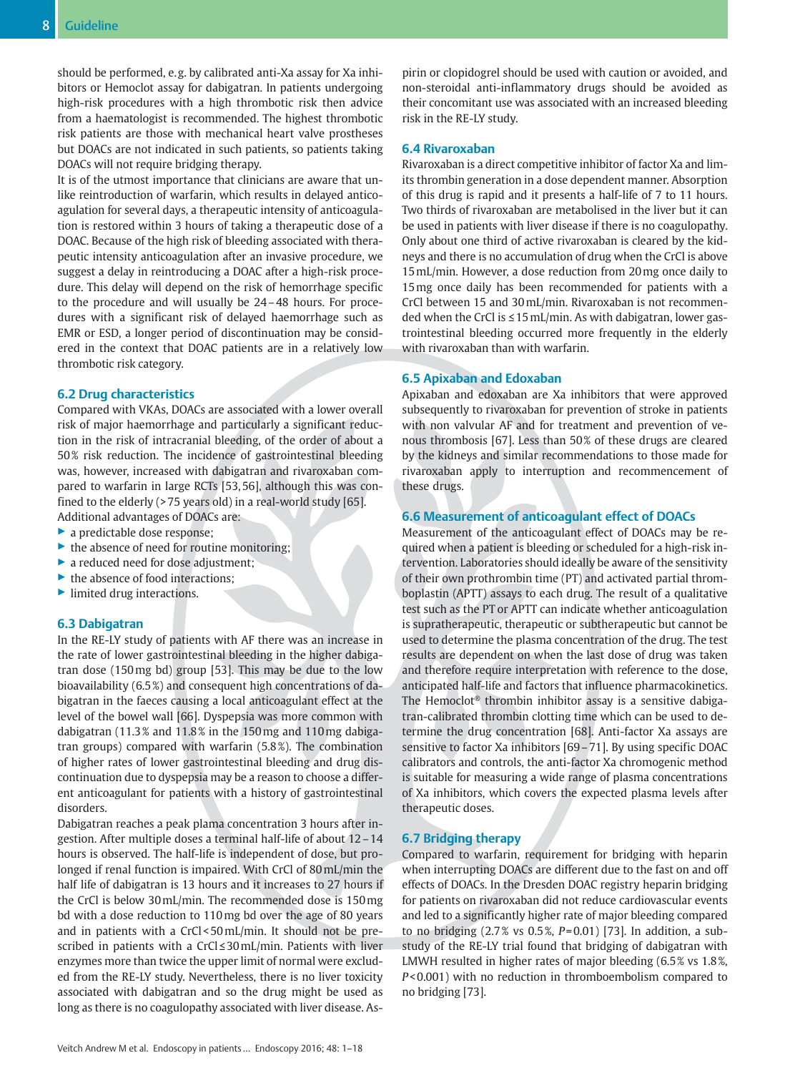should be performed, e. g. by calibrated anti-Xa assay for Xa inhibitors or Hemoclot assay for dabigatran. In patients undergoing high-risk procedures with a high thrombotic risk then advice from a haematologist is recommended. The highest thrombotic risk patients are those with mechanical heart valve prostheses but DOACs are not indicated in such patients, so patients taking DOACs will not require bridging therapy.

It is of the utmost importance that clinicians are aware that unlike reintroduction of warfarin, which results in delayed anticoagulation for several days, a therapeutic intensity of anticoagulation is restored within 3 hours of taking a therapeutic dose of a DOAC. Because of the high risk of bleeding associated with therapeutic intensity anticoagulation after an invasive procedure, we suggest a delay in reintroducing a DOAC after a high-risk procedure. This delay will depend on the risk of hemorrhage specific to the procedure and will usually be 24–48 hours. For procedures with a significant risk of delayed haemorrhage such as EMR or ESD, a longer period of discontinuation may be considered in the context that DOAC patients are in a relatively low thrombotic risk category.

## 6.2 Drug characteristics

Compared with VKAs, DOACs are associated with a lower overall risk of major haemorrhage and particularly a significant reduction in the risk of intracranial bleeding, of the order of about a 50 % risk reduction. The incidence of gastrointestinal bleeding was, however, increased with dabigatran and rivaroxaban compared to warfarin in large RCTs [53, 56], although this was confined to the elderly (> 75 years old) in a real-world study [65]. Additional advantages of DOACs are:

- ▶ a predictable dose response;
- ▶ the absence of need for routine monitoring;
- ▶ a reduced need for dose adjustment;
- the absence of food interactions;
- ▶ limited drug interactions.

## 6.3 Dabigatran

In the RE-LY study of patients with AF there was an increase in the rate of lower gastrointestinal bleeding in the higher dabigatran dose (150mg bd) group [53]. This may be due to the low bioavailability (6.5 %) and consequent high concentrations of dabigatran in the faeces causing a local anticoagulant effect at the level of the bowel wall [66]. Dyspepsia was more common with dabigatran (11.3 % and 11.8 % in the 150mg and 110mg dabigatran groups) compared with warfarin (5.8 %). The combination of higher rates of lower gastrointestinal bleeding and drug discontinuation due to dyspepsia may be a reason to choose a different anticoagulant for patients with a history of gastrointestinal disorders.

Dabigatran reaches a peak plama concentration 3 hours after ingestion. After multiple doses a terminal half-life of about 12–14 hours is observed. The half-life is independent of dose, but prolonged if renal function is impaired. With CrCl of 80mL/min the half life of dabigatran is 13 hours and it increases to 27 hours if the CrCl is below 30mL/min. The recommended dose is 150mg bd with a dose reduction to 110mg bd over the age of 80 years and in patients with a CrCl < 50mL/min. It should not be prescribed in patients with a CrCl≤30mL/min. Patients with liver enzymes more than twice the upper limit of normal were excluded from the RE-LY study. Nevertheless, there is no liver toxicity associated with dabigatran and so the drug might be used as long as there is no coagulopathy associated with liver disease. Aspirin or clopidogrel should be used with caution or avoided, and non-steroidal anti-inflammatory drugs should be avoided as their concomitant use was associated with an increased bleeding risk in the RE-LY study.

#### 6.4 Rivaroxaban

Rivaroxaban is a direct competitive inhibitor of factor Xa and limits thrombin generation in a dose dependent manner. Absorption of this drug is rapid and it presents a half-life of 7 to 11 hours. Two thirds of rivaroxaban are metabolised in the liver but it can be used in patients with liver disease if there is no coagulopathy. Only about one third of active rivaroxaban is cleared by the kidneys and there is no accumulation of drug when the CrCl is above 15mL/min. However, a dose reduction from 20mg once daily to 15mg once daily has been recommended for patients with a CrCl between 15 and 30mL/min. Rivaroxaban is not recommended when the CrCl is ≤15mL/min. As with dabigatran, lower gastrointestinal bleeding occurred more frequently in the elderly with rivaroxaban than with warfarin.

# 6.5 Apixaban and Edoxaban

Apixaban and edoxaban are Xa inhibitors that were approved subsequently to rivaroxaban for prevention of stroke in patients with non valvular AF and for treatment and prevention of venous thrombosis [67]. Less than 50 % of these drugs are cleared by the kidneys and similar recommendations to those made for rivaroxaban apply to interruption and recommencement of these drugs.

# 6.6 Measurement of anticoagulant effect of DOACs

Measurement of the anticoagulant effect of DOACs may be required when a patient is bleeding or scheduled for a high-risk intervention. Laboratories should ideally be aware of the sensitivity of their own prothrombin time (PT) and activated partial thromboplastin (APTT) assays to each drug. The result of a qualitative test such as the PT or APTT can indicate whether anticoagulation is supratherapeutic, therapeutic or subtherapeutic but cannot be used to determine the plasma concentration of the drug. The test results are dependent on when the last dose of drug was taken and therefore require interpretation with reference to the dose, anticipated half-life and factors that influence pharmacokinetics. The Hemoclot® thrombin inhibitor assay is a sensitive dabigatran-calibrated thrombin clotting time which can be used to determine the drug concentration [68]. Anti-factor Xa assays are sensitive to factor Xa inhibitors [69–71]. By using specific DOAC calibrators and controls, the anti-factor Xa chromogenic method is suitable for measuring a wide range of plasma concentrations of Xa inhibitors, which covers the expected plasma levels after therapeutic doses.

#### 6.7 Bridging therapy

Compared to warfarin, requirement for bridging with heparin when interrupting DOACs are different due to the fast on and off effects of DOACs. In the Dresden DOAC registry heparin bridging for patients on rivaroxaban did not reduce cardiovascular events and led to a significantly higher rate of major bleeding compared to no bridging  $(2.7\% \text{ vs } 0.5\%, P=0.01)$  [73]. In addition, a substudy of the RE-LY trial found that bridging of dabigatran with LMWH resulted in higher rates of major bleeding (6.5% vs 1.8%, P< 0.001) with no reduction in thromboembolism compared to no bridging [73].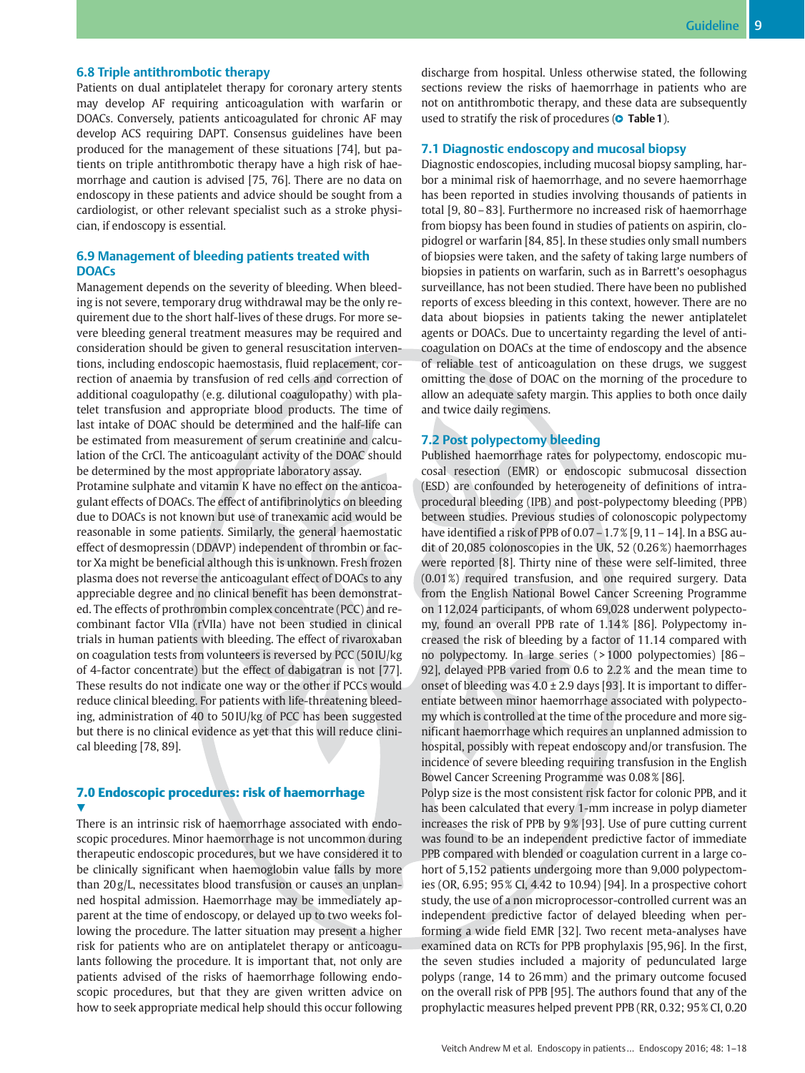## 6.8 Triple antithrombotic therapy

Patients on dual antiplatelet therapy for coronary artery stents may develop AF requiring anticoagulation with warfarin or DOACs. Conversely, patients anticoagulated for chronic AF may develop ACS requiring DAPT. Consensus guidelines have been produced for the management of these situations [74], but patients on triple antithrombotic therapy have a high risk of haemorrhage and caution is advised [75, 76]. There are no data on endoscopy in these patients and advice should be sought from a cardiologist, or other relevant specialist such as a stroke physician, if endoscopy is essential.

# 6.9 Management of bleeding patients treated with **DOACs**

Management depends on the severity of bleeding. When bleeding is not severe, temporary drug withdrawal may be the only requirement due to the short half-lives of these drugs. For more severe bleeding general treatment measures may be required and consideration should be given to general resuscitation interventions, including endoscopic haemostasis, fluid replacement, correction of anaemia by transfusion of red cells and correction of additional coagulopathy (e. g. dilutional coagulopathy) with platelet transfusion and appropriate blood products. The time of last intake of DOAC should be determined and the half-life can be estimated from measurement of serum creatinine and calculation of the CrCl. The anticoagulant activity of the DOAC should be determined by the most appropriate laboratory assay.

Protamine sulphate and vitamin K have no effect on the anticoagulant effects of DOACs. The effect of antifibrinolytics on bleeding due to DOACs is not known but use of tranexamic acid would be reasonable in some patients. Similarly, the general haemostatic effect of desmopressin (DDAVP) independent of thrombin or factor Xa might be beneficial although this is unknown. Fresh frozen plasma does not reverse the anticoagulant effect of DOACs to any appreciable degree and no clinical benefit has been demonstrated. The effects of prothrombin complex concentrate (PCC) and recombinant factor VIIa (rVIIa) have not been studied in clinical trials in human patients with bleeding. The effect of rivaroxaban on coagulation tests from volunteers is reversed by PCC (50 IU/kg of 4-factor concentrate) but the effect of dabigatran is not [77]. These results do not indicate one way or the other if PCCs would reduce clinical bleeding. For patients with life-threatening bleeding, administration of 40 to 50 IU/kg of PCC has been suggested but there is no clinical evidence as yet that this will reduce clinical bleeding [78, 89].

## 7.0 Endoscopic procedures: risk of haemorrhage V,

There is an intrinsic risk of haemorrhage associated with endoscopic procedures. Minor haemorrhage is not uncommon during therapeutic endoscopic procedures, but we have considered it to be clinically significant when haemoglobin value falls by more than 20 g/L, necessitates blood transfusion or causes an unplanned hospital admission. Haemorrhage may be immediately apparent at the time of endoscopy, or delayed up to two weeks following the procedure. The latter situation may present a higher risk for patients who are on antiplatelet therapy or anticoagulants following the procedure. It is important that, not only are patients advised of the risks of haemorrhage following endoscopic procedures, but that they are given written advice on how to seek appropriate medical help should this occur following discharge from hospital. Unless otherwise stated, the following sections review the risks of haemorrhage in patients who are not on antithrombotic therapy, and these data are subsequently used to stratify the risk of procedures ( $\bullet$  Table 1).

#### 7.1 Diagnostic endoscopy and mucosal biopsy

Diagnostic endoscopies, including mucosal biopsy sampling, harbor a minimal risk of haemorrhage, and no severe haemorrhage has been reported in studies involving thousands of patients in total [9, 80–83]. Furthermore no increased risk of haemorrhage from biopsy has been found in studies of patients on aspirin, clopidogrel or warfarin [84, 85]. In these studies only small numbers of biopsies were taken, and the safety of taking large numbers of biopsies in patients on warfarin, such as in Barrett's oesophagus surveillance, has not been studied. There have been no published reports of excess bleeding in this context, however. There are no data about biopsies in patients taking the newer antiplatelet agents or DOACs. Due to uncertainty regarding the level of anticoagulation on DOACs at the time of endoscopy and the absence of reliable test of anticoagulation on these drugs, we suggest omitting the dose of DOAC on the morning of the procedure to allow an adequate safety margin. This applies to both once daily and twice daily regimens.

### 7.2 Post polypectomy bleeding

Published haemorrhage rates for polypectomy, endoscopic mucosal resection (EMR) or endoscopic submucosal dissection (ESD) are confounded by heterogeneity of definitions of intraprocedural bleeding (IPB) and post-polypectomy bleeding (PPB) between studies. Previous studies of colonoscopic polypectomy have identified a risk of PPB of 0.07 - 1.7 % [9, 11 - 14]. In a BSG audit of 20,085 colonoscopies in the UK, 52 (0.26 %) haemorrhages were reported [8]. Thirty nine of these were self-limited, three (0.01 %) required transfusion, and one required surgery. Data from the English National Bowel Cancer Screening Programme on 112,024 participants, of whom 69,028 underwent polypectomy, found an overall PPB rate of 1.14 % [86]. Polypectomy increased the risk of bleeding by a factor of 11.14 compared with no polypectomy. In large series ( > 1000 polypectomies) [86– 92], delayed PPB varied from 0.6 to 2.2 % and the mean time to onset of bleeding was 4.0 ± 2.9 days [93]. It is important to differentiate between minor haemorrhage associated with polypectomy which is controlled at the time of the procedure and more significant haemorrhage which requires an unplanned admission to hospital, possibly with repeat endoscopy and/or transfusion. The incidence of severe bleeding requiring transfusion in the English Bowel Cancer Screening Programme was 0.08 % [86].

Polyp size is the most consistent risk factor for colonic PPB, and it has been calculated that every 1-mm increase in polyp diameter increases the risk of PPB by 9% [93]. Use of pure cutting current was found to be an independent predictive factor of immediate PPB compared with blended or coagulation current in a large cohort of 5,152 patients undergoing more than 9,000 polypectomies (OR, 6.95; 95 % CI, 4.42 to 10.94) [94]. In a prospective cohort study, the use of a non microprocessor-controlled current was an independent predictive factor of delayed bleeding when performing a wide field EMR [32]. Two recent meta-analyses have examined data on RCTs for PPB prophylaxis [95, 96]. In the first, the seven studies included a majority of pedunculated large polyps (range, 14 to 26mm) and the primary outcome focused on the overall risk of PPB [95]. The authors found that any of the prophylactic measures helped prevent PPB (RR, 0.32; 95 % CI, 0.20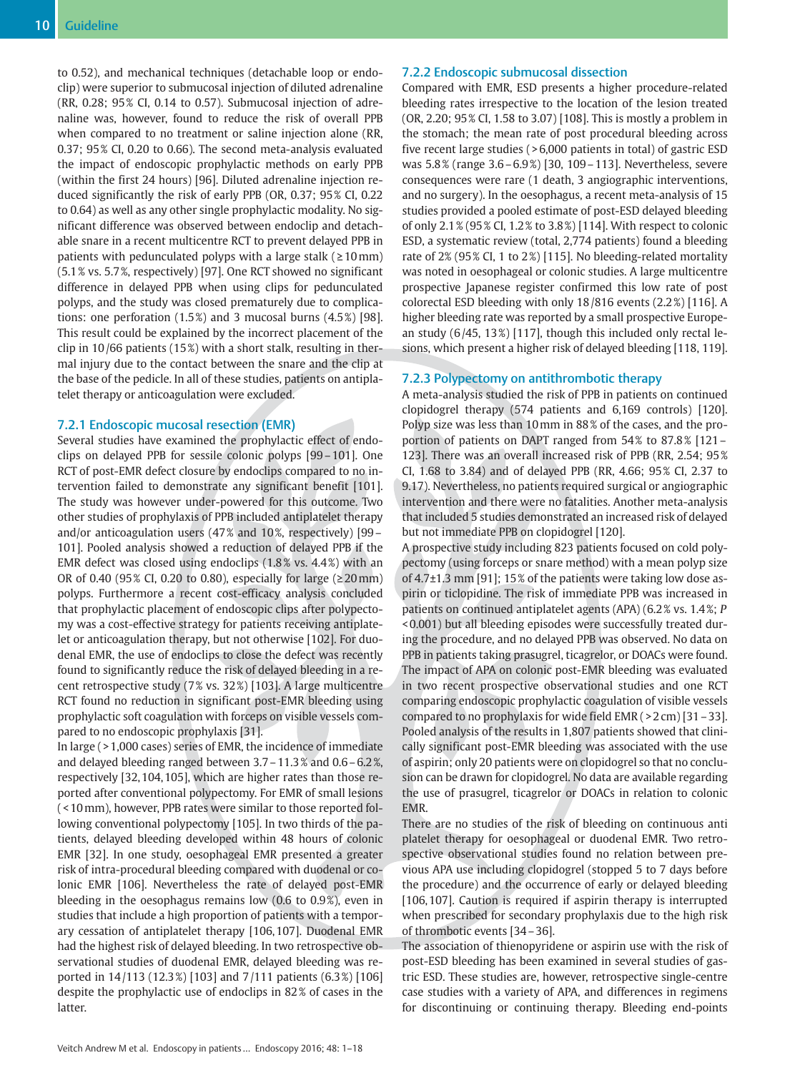to 0.52), and mechanical techniques (detachable loop or endoclip) were superior to submucosal injection of diluted adrenaline (RR, 0.28; 95 % CI, 0.14 to 0.57). Submucosal injection of adrenaline was, however, found to reduce the risk of overall PPB when compared to no treatment or saline injection alone (RR, 0.37; 95 % CI, 0.20 to 0.66). The second meta-analysis evaluated the impact of endoscopic prophylactic methods on early PPB (within the first 24 hours) [96]. Diluted adrenaline injection reduced significantly the risk of early PPB (OR, 0.37; 95 % CI, 0.22 to 0.64) as well as any other single prophylactic modality. No significant difference was observed between endoclip and detachable snare in a recent multicentre RCT to prevent delayed PPB in patients with pedunculated polyps with a large stalk ( $\geq 10$ mm) (5.1 % vs. 5.7 %, respectively) [97]. One RCT showed no significant difference in delayed PPB when using clips for pedunculated polyps, and the study was closed prematurely due to complications: one perforation  $(1.5\%)$  and 3 mucosal burns  $(4.5\%)$  [98]. This result could be explained by the incorrect placement of the clip in 10 /66 patients (15 %) with a short stalk, resulting in thermal injury due to the contact between the snare and the clip at the base of the pedicle. In all of these studies, patients on antiplatelet therapy or anticoagulation were excluded.

### 7.2.1 Endoscopic mucosal resection (EMR)

Several studies have examined the prophylactic effect of endoclips on delayed PPB for sessile colonic polyps [99–101]. One RCT of post-EMR defect closure by endoclips compared to no intervention failed to demonstrate any significant benefit [101]. The study was however under-powered for this outcome. Two other studies of prophylaxis of PPB included antiplatelet therapy and/or anticoagulation users  $(47\%$  and  $10\%$ , respectively) [99 – 101]. Pooled analysis showed a reduction of delayed PPB if the EMR defect was closed using endoclips (1.8% vs. 4.4%) with an OR of 0.40 (95% CI, 0.20 to 0.80), especially for large ( $\geq$  20 mm) polyps. Furthermore a recent cost-efficacy analysis concluded that prophylactic placement of endoscopic clips after polypectomy was a cost-effective strategy for patients receiving antiplatelet or anticoagulation therapy, but not otherwise [102]. For duodenal EMR, the use of endoclips to close the defect was recently found to significantly reduce the risk of delayed bleeding in a recent retrospective study (7 % vs. 32 %) [103]. A large multicentre RCT found no reduction in significant post-EMR bleeding using prophylactic soft coagulation with forceps on visible vessels compared to no endoscopic prophylaxis [31].

In large ( > 1,000 cases) series of EMR, the incidence of immediate and delayed bleeding ranged between 3.7–11.3 % and 0.6–6.2 %, respectively [32, 104, 105], which are higher rates than those reported after conventional polypectomy. For EMR of small lesions ( < 10mm), however, PPB rates were similar to those reported following conventional polypectomy [105]. In two thirds of the patients, delayed bleeding developed within 48 hours of colonic EMR [32]. In one study, oesophageal EMR presented a greater risk of intra-procedural bleeding compared with duodenal or colonic EMR [106]. Nevertheless the rate of delayed post-EMR bleeding in the oesophagus remains low (0.6 to 0.9 %), even in studies that include a high proportion of patients with a temporary cessation of antiplatelet therapy [106, 107]. Duodenal EMR had the highest risk of delayed bleeding. In two retrospective observational studies of duodenal EMR, delayed bleeding was reported in 14 /113 (12.3 %) [103] and 7 /111 patients (6.3 %) [106] despite the prophylactic use of endoclips in 82 % of cases in the latter.

# 7.2.2 Endoscopic submucosal dissection

Compared with EMR, ESD presents a higher procedure-related bleeding rates irrespective to the location of the lesion treated (OR, 2.20; 95 % CI, 1.58 to 3.07) [108]. This is mostly a problem in the stomach; the mean rate of post procedural bleeding across five recent large studies ( > 6,000 patients in total) of gastric ESD was 5.8 % (range 3.6–6.9 %) [30, 109–113]. Nevertheless, severe consequences were rare (1 death, 3 angiographic interventions, and no surgery). In the oesophagus, a recent meta-analysis of 15 studies provided a pooled estimate of post-ESD delayed bleeding of only 2.1 % (95 % CI, 1.2 % to 3.8 %) [114]. With respect to colonic ESD, a systematic review (total, 2,774 patients) found a bleeding rate of 2% (95% CI, 1 to 2%) [115]. No bleeding-related mortality was noted in oesophageal or colonic studies. A large multicentre prospective Japanese register confirmed this low rate of post colorectal ESD bleeding with only 18 /816 events (2.2 %) [116]. A higher bleeding rate was reported by a small prospective European study  $(6/45, 13\%)$  [117], though this included only rectal lesions, which present a higher risk of delayed bleeding [118, 119].

#### 7.2.3 Polypectomy on antithrombotic therapy

A meta-analysis studied the risk of PPB in patients on continued clopidogrel therapy (574 patients and 6,169 controls) [120]. Polyp size was less than 10mm in 88 % of the cases, and the proportion of patients on DAPT ranged from 54% to 87.8% [121 -123]. There was an overall increased risk of PPB (RR, 2.54; 95 % CI, 1.68 to 3.84) and of delayed PPB (RR, 4.66; 95 % CI, 2.37 to 9.17). Nevertheless, no patients required surgical or angiographic intervention and there were no fatalities. Another meta-analysis that included 5 studies demonstrated an increased risk of delayed but not immediate PPB on clopidogrel [120].

A prospective study including 823 patients focused on cold polypectomy (using forceps or snare method) with a mean polyp size of 4.7±1.3 mm [91]; 15 % of the patients were taking low dose aspirin or ticlopidine. The risk of immediate PPB was increased in patients on continued antiplatelet agents (APA) (6.2 % vs. 1.4 %; P < 0.001) but all bleeding episodes were successfully treated during the procedure, and no delayed PPB was observed. No data on PPB in patients taking prasugrel, ticagrelor, or DOACs were found. The impact of APA on colonic post-EMR bleeding was evaluated in two recent prospective observational studies and one RCT comparing endoscopic prophylactic coagulation of visible vessels compared to no prophylaxis for wide field EMR ( > 2 cm) [31–33]. Pooled analysis of the results in 1,807 patients showed that clinically significant post-EMR bleeding was associated with the use of aspirin; only 20 patients were on clopidogrel so that no conclusion can be drawn for clopidogrel. No data are available regarding the use of prasugrel, ticagrelor or DOACs in relation to colonic EMR.

There are no studies of the risk of bleeding on continuous anti platelet therapy for oesophageal or duodenal EMR. Two retrospective observational studies found no relation between previous APA use including clopidogrel (stopped 5 to 7 days before the procedure) and the occurrence of early or delayed bleeding [106, 107]. Caution is required if aspirin therapy is interrupted when prescribed for secondary prophylaxis due to the high risk of thrombotic events [34–36].

The association of thienopyridene or aspirin use with the risk of post-ESD bleeding has been examined in several studies of gastric ESD. These studies are, however, retrospective single-centre case studies with a variety of APA, and differences in regimens for discontinuing or continuing therapy. Bleeding end-points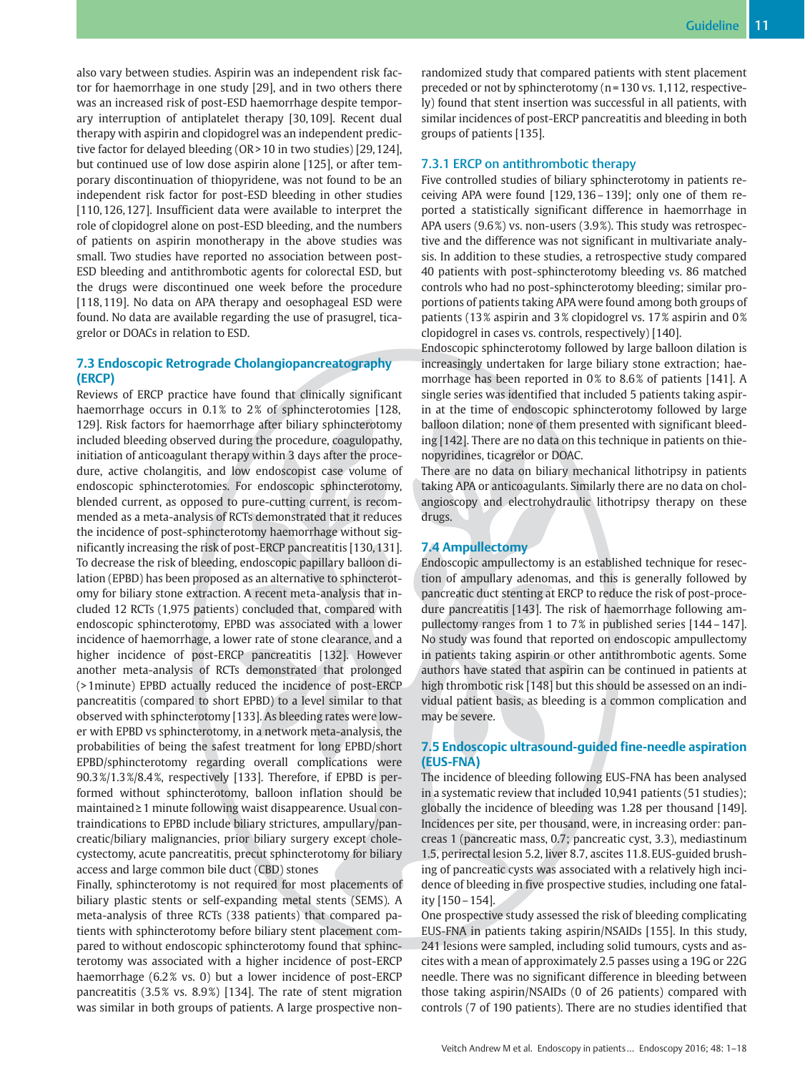also vary between studies. Aspirin was an independent risk factor for haemorrhage in one study [29], and in two others there was an increased risk of post-ESD haemorrhage despite temporary interruption of antiplatelet therapy [30, 109]. Recent dual therapy with aspirin and clopidogrel was an independent predictive factor for delayed bleeding (OR > 10 in two studies) [29, 124], but continued use of low dose aspirin alone [125], or after temporary discontinuation of thiopyridene, was not found to be an independent risk factor for post-ESD bleeding in other studies [110, 126, 127]. Insufficient data were available to interpret the role of clopidogrel alone on post-ESD bleeding, and the numbers of patients on aspirin monotherapy in the above studies was small. Two studies have reported no association between post-ESD bleeding and antithrombotic agents for colorectal ESD, but the drugs were discontinued one week before the procedure [118, 119]. No data on APA therapy and oesophageal ESD were found. No data are available regarding the use of prasugrel, ticagrelor or DOACs in relation to ESD.

# 7.3 Endoscopic Retrograde Cholangiopancreatography (ERCP)

Reviews of ERCP practice have found that clinically significant haemorrhage occurs in 0.1% to 2% of sphincterotomies [128, 129]. Risk factors for haemorrhage after biliary sphincterotomy included bleeding observed during the procedure, coagulopathy, initiation of anticoagulant therapy within 3 days after the procedure, active cholangitis, and low endoscopist case volume of endoscopic sphincterotomies. For endoscopic sphincterotomy, blended current, as opposed to pure-cutting current, is recommended as a meta-analysis of RCTs demonstrated that it reduces the incidence of post-sphincterotomy haemorrhage without significantly increasing the risk of post-ERCP pancreatitis [130, 131]. To decrease the risk of bleeding, endoscopic papillary balloon dilation (EPBD) has been proposed as an alternative to sphincterotomy for biliary stone extraction. A recent meta-analysis that included 12 RCTs (1,975 patients) concluded that, compared with endoscopic sphincterotomy, EPBD was associated with a lower incidence of haemorrhage, a lower rate of stone clearance, and a higher incidence of post-ERCP pancreatitis [132]. However another meta-analysis of RCTs demonstrated that prolonged (> 1minute) EPBD actually reduced the incidence of post-ERCP pancreatitis (compared to short EPBD) to a level similar to that observed with sphincterotomy [133]. As bleeding rates were lower with EPBD vs sphincterotomy, in a network meta-analysis, the probabilities of being the safest treatment for long EPBD/short EPBD/sphincterotomy regarding overall complications were 90.3 %/1.3 %/8.4 %, respectively [133]. Therefore, if EPBD is performed without sphincterotomy, balloon inflation should be maintained≥1 minute following waist disappearence. Usual contraindications to EPBD include biliary strictures, ampullary/pancreatic/biliary malignancies, prior biliary surgery except cholecystectomy, acute pancreatitis, precut sphincterotomy for biliary access and large common bile duct (CBD) stones

Finally, sphincterotomy is not required for most placements of biliary plastic stents or self-expanding metal stents (SEMS). A meta-analysis of three RCTs (338 patients) that compared patients with sphincterotomy before biliary stent placement compared to without endoscopic sphincterotomy found that sphincterotomy was associated with a higher incidence of post-ERCP haemorrhage (6.2 % vs. 0) but a lower incidence of post-ERCP pancreatitis (3.5% vs. 8.9%) [134]. The rate of stent migration was similar in both groups of patients. A large prospective nonrandomized study that compared patients with stent placement preceded or not by sphincterotomy (n = 130 vs. 1,112, respectively) found that stent insertion was successful in all patients, with similar incidences of post-ERCP pancreatitis and bleeding in both groups of patients [135].

### 7.3.1 ERCP on antithrombotic therapy

Five controlled studies of biliary sphincterotomy in patients receiving APA were found [129, 136–139]; only one of them reported a statistically significant difference in haemorrhage in APA users (9.6%) vs. non-users (3.9%). This study was retrospective and the difference was not significant in multivariate analysis. In addition to these studies, a retrospective study compared 40 patients with post-sphincterotomy bleeding vs. 86 matched controls who had no post-sphincterotomy bleeding; similar proportions of patients taking APA were found among both groups of patients (13% aspirin and 3% clopidogrel vs. 17% aspirin and 0% clopidogrel in cases vs. controls, respectively) [140].

Endoscopic sphincterotomy followed by large balloon dilation is increasingly undertaken for large biliary stone extraction; haemorrhage has been reported in 0% to 8.6% of patients [141]. A single series was identified that included 5 patients taking aspirin at the time of endoscopic sphincterotomy followed by large balloon dilation; none of them presented with significant bleeding [142]. There are no data on this technique in patients on thienopyridines, ticagrelor or DOAC.

There are no data on biliary mechanical lithotripsy in patients taking APA or anticoagulants. Similarly there are no data on cholangioscopy and electrohydraulic lithotripsy therapy on these drugs.

## 7.4 Ampullectomy

Endoscopic ampullectomy is an established technique for resection of ampullary adenomas, and this is generally followed by pancreatic duct stenting at ERCP to reduce the risk of post-procedure pancreatitis [143]. The risk of haemorrhage following ampullectomy ranges from 1 to 7 % in published series [144–147]. No study was found that reported on endoscopic ampullectomy in patients taking aspirin or other antithrombotic agents. Some authors have stated that aspirin can be continued in patients at high thrombotic risk [148] but this should be assessed on an individual patient basis, as bleeding is a common complication and may be severe.

# 7.5 Endoscopic ultrasound-guided fine-needle aspiration (EUS-FNA)

The incidence of bleeding following EUS-FNA has been analysed in a systematic review that included 10,941 patients (51 studies); globally the incidence of bleeding was 1.28 per thousand [149]. Incidences per site, per thousand, were, in increasing order: pancreas 1 (pancreatic mass, 0.7; pancreatic cyst, 3.3), mediastinum 1.5, perirectal lesion 5.2, liver 8.7, ascites 11.8. EUS-guided brushing of pancreatic cysts was associated with a relatively high incidence of bleeding in five prospective studies, including one fatality [150–154].

One prospective study assessed the risk of bleeding complicating EUS-FNA in patients taking aspirin/NSAIDs [155]. In this study, 241 lesions were sampled, including solid tumours, cysts and ascites with a mean of approximately 2.5 passes using a 19G or 22G needle. There was no significant difference in bleeding between those taking aspirin/NSAIDs (0 of 26 patients) compared with controls (7 of 190 patients). There are no studies identified that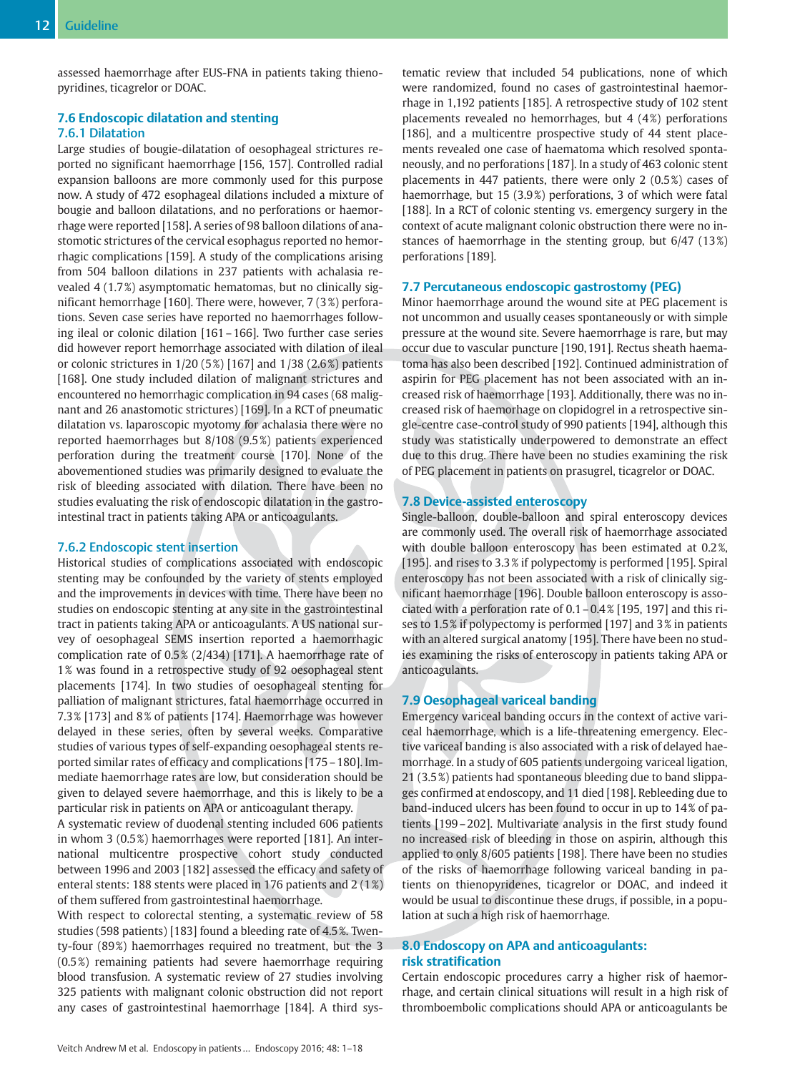assessed haemorrhage after EUS-FNA in patients taking thienopyridines, ticagrelor or DOAC.

# 7.6 Endoscopic dilatation and stenting 7.6.1 Dilatation

Large studies of bougie-dilatation of oesophageal strictures reported no significant haemorrhage [156, 157]. Controlled radial expansion balloons are more commonly used for this purpose now. A study of 472 esophageal dilations included a mixture of bougie and balloon dilatations, and no perforations or haemorrhage were reported [158]. A series of 98 balloon dilations of anastomotic strictures of the cervical esophagus reported no hemorrhagic complications [159]. A study of the complications arising from 504 balloon dilations in 237 patients with achalasia revealed 4 (1.7 %) asymptomatic hematomas, but no clinically significant hemorrhage [160]. There were, however, 7 (3 %) perforations. Seven case series have reported no haemorrhages following ileal or colonic dilation [161–166]. Two further case series did however report hemorrhage associated with dilation of ileal or colonic strictures in  $1/20$  (5%) [167] and  $1/38$  (2.6%) patients [168]. One study included dilation of malignant strictures and encountered no hemorrhagic complication in 94 cases (68 malignant and 26 anastomotic strictures) [169]. In a RCT of pneumatic dilatation vs. laparoscopic myotomy for achalasia there were no reported haemorrhages but 8/108 (9.5 %) patients experienced perforation during the treatment course [170]. None of the abovementioned studies was primarily designed to evaluate the risk of bleeding associated with dilation. There have been no studies evaluating the risk of endoscopic dilatation in the gastrointestinal tract in patients taking APA or anticoagulants.

## 7.6.2 Endoscopic stent insertion

Historical studies of complications associated with endoscopic stenting may be confounded by the variety of stents employed and the improvements in devices with time. There have been no studies on endoscopic stenting at any site in the gastrointestinal tract in patients taking APA or anticoagulants. A US national survey of oesophageal SEMS insertion reported a haemorrhagic complication rate of 0.5 % (2/434) [171]. A haemorrhage rate of 1 % was found in a retrospective study of 92 oesophageal stent placements [174]. In two studies of oesophageal stenting for palliation of malignant strictures, fatal haemorrhage occurred in 7.3 % [173] and 8 % of patients [174]. Haemorrhage was however delayed in these series, often by several weeks. Comparative studies of various types of self-expanding oesophageal stents reported similar rates of efficacy and complications [175–180]. Immediate haemorrhage rates are low, but consideration should be given to delayed severe haemorrhage, and this is likely to be a particular risk in patients on APA or anticoagulant therapy.

A systematic review of duodenal stenting included 606 patients in whom 3 (0.5 %) haemorrhages were reported [181]. An international multicentre prospective cohort study conducted between 1996 and 2003 [182] assessed the efficacy and safety of enteral stents: 188 stents were placed in 176 patients and 2 (1 %) of them suffered from gastrointestinal haemorrhage.

With respect to colorectal stenting, a systematic review of 58 studies (598 patients) [183] found a bleeding rate of 4.5 %. Twenty-four (89%) haemorrhages required no treatment, but the 3 (0.5 %) remaining patients had severe haemorrhage requiring blood transfusion. A systematic review of 27 studies involving 325 patients with malignant colonic obstruction did not report any cases of gastrointestinal haemorrhage [184]. A third systematic review that included 54 publications, none of which were randomized, found no cases of gastrointestinal haemorrhage in 1,192 patients [185]. A retrospective study of 102 stent placements revealed no hemorrhages, but  $4$  ( $4\%$ ) perforations [186], and a multicentre prospective study of 44 stent placements revealed one case of haematoma which resolved spontaneously, and no perforations [187]. In a study of 463 colonic stent placements in 447 patients, there were only 2 (0.5 %) cases of haemorrhage, but 15 (3.9%) perforations, 3 of which were fatal [188]. In a RCT of colonic stenting vs. emergency surgery in the context of acute malignant colonic obstruction there were no instances of haemorrhage in the stenting group, but 6/47 (13 %) perforations [189].

# 7.7 Percutaneous endoscopic gastrostomy (PEG)

Minor haemorrhage around the wound site at PEG placement is not uncommon and usually ceases spontaneously or with simple pressure at the wound site. Severe haemorrhage is rare, but may occur due to vascular puncture [190, 191]. Rectus sheath haematoma has also been described [192]. Continued administration of aspirin for PEG placement has not been associated with an increased risk of haemorrhage [193]. Additionally, there was no increased risk of haemorhage on clopidogrel in a retrospective single-centre case-control study of 990 patients [194], although this study was statistically underpowered to demonstrate an effect due to this drug. There have been no studies examining the risk of PEG placement in patients on prasugrel, ticagrelor or DOAC.

# 7.8 Device-assisted enteroscopy

Single-balloon, double-balloon and spiral enteroscopy devices are commonly used. The overall risk of haemorrhage associated with double balloon enteroscopy has been estimated at 0.2 %, [195]. and rises to 3.3 % if polypectomy is performed [195]. Spiral enteroscopy has not been associated with a risk of clinically significant haemorrhage [196]. Double balloon enteroscopy is associated with a perforation rate of 0.1–0.4 % [195, 197] and this rises to 1.5 % if polypectomy is performed [197] and 3 % in patients with an altered surgical anatomy [195]. There have been no studies examining the risks of enteroscopy in patients taking APA or anticoagulants.

# 7.9 Oesophageal variceal banding

Emergency variceal banding occurs in the context of active variceal haemorrhage, which is a life-threatening emergency. Elective variceal banding is also associated with a risk of delayed haemorrhage. In a study of 605 patients undergoing variceal ligation, 21 (3.5 %) patients had spontaneous bleeding due to band slippages confirmed at endoscopy, and 11 died [198]. Rebleeding due to band-induced ulcers has been found to occur in up to 14% of patients [199–202]. Multivariate analysis in the first study found no increased risk of bleeding in those on aspirin, although this applied to only 8/605 patients [198]. There have been no studies of the risks of haemorrhage following variceal banding in patients on thienopyridenes, ticagrelor or DOAC, and indeed it would be usual to discontinue these drugs, if possible, in a population at such a high risk of haemorrhage.

# 8.0 Endoscopy on APA and anticoagulants: risk stratification

Certain endoscopic procedures carry a higher risk of haemorrhage, and certain clinical situations will result in a high risk of thromboembolic complications should APA or anticoagulants be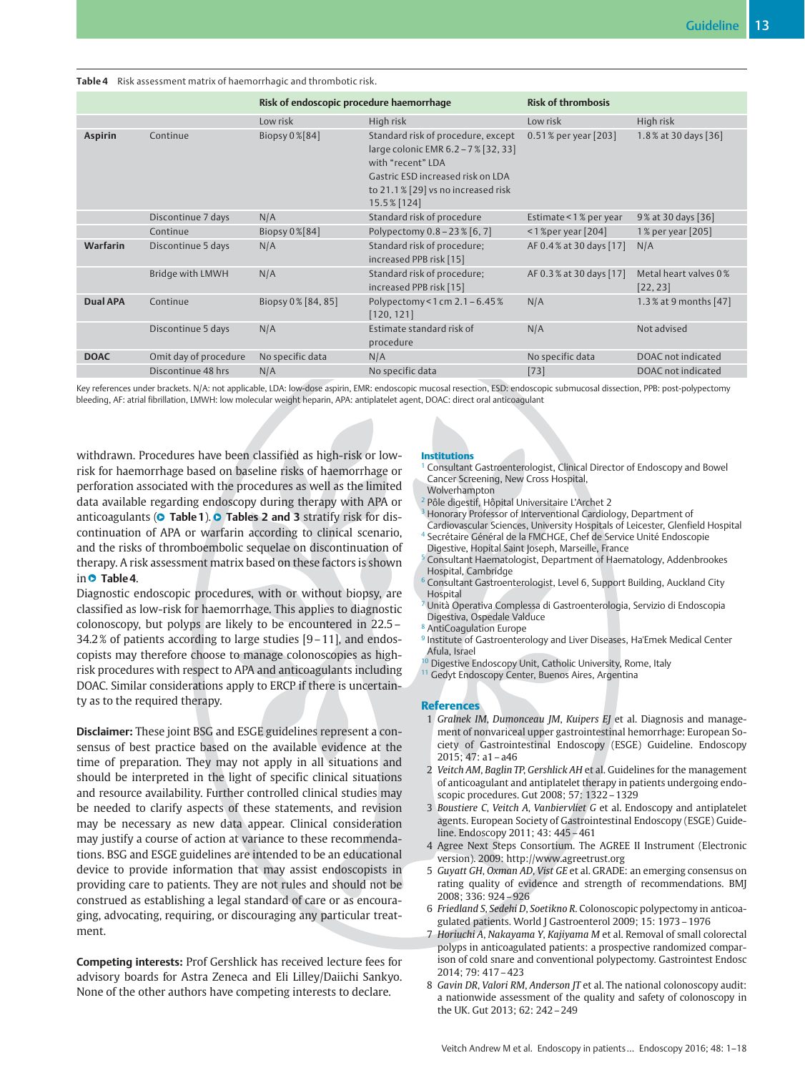| Table 4 Risk assessment matrix of haemorrhagic and thrombotic risk. |                       |                                          |                                                                                                                                                                                          |                           |                                   |  |
|---------------------------------------------------------------------|-----------------------|------------------------------------------|------------------------------------------------------------------------------------------------------------------------------------------------------------------------------------------|---------------------------|-----------------------------------|--|
|                                                                     |                       | Risk of endoscopic procedure haemorrhage |                                                                                                                                                                                          | <b>Risk of thrombosis</b> |                                   |  |
|                                                                     |                       | Low risk                                 | High risk                                                                                                                                                                                | Low risk                  | High risk                         |  |
| <b>Aspirin</b>                                                      | Continue              | Biopsy 0%[84]                            | Standard risk of procedure, except<br>large colonic EMR 6.2 - 7% [32, 33]<br>with "recent" LDA<br>Gastric ESD increased risk on LDA<br>to 21.1% [29] vs no increased risk<br>15.5% [124] | 0.51% per year [203]      | 1.8% at 30 days [36]              |  |
|                                                                     | Discontinue 7 days    | N/A                                      | Standard risk of procedure                                                                                                                                                               | Estimate < 1% per year    | 9% at 30 days [36]                |  |
|                                                                     | Continue              | Biopsy $0\%$ [84]                        | Polypectomy 0.8 - 23 % [6, 7]                                                                                                                                                            | $<$ 1 % per year [204]    | 1% per year [205]                 |  |
| Warfarin                                                            | Discontinue 5 days    | N/A                                      | Standard risk of procedure;<br>increased PPB risk [15]                                                                                                                                   | AF 0.4% at 30 days [17]   | N/A                               |  |
|                                                                     | Bridge with LMWH      | N/A                                      | Standard risk of procedure;<br>increased PPB risk [15]                                                                                                                                   | AF 0.3% at 30 days [17]   | Metal heart valves 0%<br>[22, 23] |  |
| <b>Dual APA</b>                                                     | Continue              | Biopsy 0% [84, 85]                       | Polypectomy < 1 cm $2.1 - 6.45\%$<br>[120, 121]                                                                                                                                          | N/A                       | 1.3% at 9 months [47]             |  |
|                                                                     | Discontinue 5 days    | N/A                                      | Estimate standard risk of<br>procedure                                                                                                                                                   | N/A                       | Not advised                       |  |
| <b>DOAC</b>                                                         | Omit day of procedure | No specific data                         | N/A                                                                                                                                                                                      | No specific data          | DOAC not indicated                |  |
|                                                                     | Discontinue 48 hrs    | N/A                                      | No specific data                                                                                                                                                                         | $[73]$                    | DOAC not indicated                |  |

Key references under brackets. N/A: not applicable, LDA: low-dose aspirin, EMR: endoscopic mucosal resection, ESD: endoscopic submucosal dissection, PPB: post-polypectomy bleeding, AF: atrial fibrillation, LMWH: low molecular weight heparin, APA: antiplatelet agent, DOAC: direct oral anticoagulant

withdrawn. Procedures have been classified as high-risk or lowrisk for haemorrhage based on baseline risks of haemorrhage or perforation associated with the procedures as well as the limited data available regarding endoscopy during therapy with APA or anticoagulants (**O** Table 1). **O** Tables 2 and 3 stratify risk for discontinuation of APA or warfarin according to clinical scenario, and the risks of thromboembolic sequelae on discontinuation of therapy. A risk assessment matrix based on these factors is shown in **O** Table 4.

Diagnostic endoscopic procedures, with or without biopsy, are classified as low-risk for haemorrhage. This applies to diagnostic colonoscopy, but polyps are likely to be encountered in 22.5– 34.2 % of patients according to large studies [9–11], and endoscopists may therefore choose to manage colonoscopies as highrisk procedures with respect to APA and anticoagulants including DOAC. Similar considerations apply to ERCP if there is uncertainty as to the required therapy.

Disclaimer: These joint BSG and ESGE guidelines represent a consensus of best practice based on the available evidence at the time of preparation. They may not apply in all situations and should be interpreted in the light of specific clinical situations and resource availability. Further controlled clinical studies may be needed to clarify aspects of these statements, and revision may be necessary as new data appear. Clinical consideration may justify a course of action at variance to these recommendations. BSG and ESGE guidelines are intended to be an educational device to provide information that may assist endoscopists in providing care to patients. They are not rules and should not be construed as establishing a legal standard of care or as encouraging, advocating, requiring, or discouraging any particular treatment.

Competing interests: Prof Gershlick has received lecture fees for advisory boards for Astra Zeneca and Eli Lilley/Daiichi Sankyo. None of the other authors have competing interests to declare.

#### Institutions

- <sup>1</sup> Consultant Gastroenterologist, Clinical Director of Endoscopy and Bowel Cancer Screening, New Cross Hospital,
- Wolverhampton
- <sup>2</sup> Pôle digestif, Hôpital Universitaire L'Archet 2
- <sup>3</sup> Honorary Professor of Interventional Cardiology, Department of Cardiovascular Sciences, University Hospitals of Leicester, Glenfield Hospital
- <sup>4</sup> Secrétaire Général de la FMCHGE, Chef de Service Unité Endoscopie Digestive, Hopital Saint Joseph, Marseille, France
- <sup>5</sup> Consultant Haematologist, Department of Haematology, Addenbrookes Hospital, Cambridge
- <sup>6</sup> Consultant Gastroenterologist, Level 6, Support Building, Auckland City Hospital
- <sup>7</sup> Unità Operativa Complessa di Gastroenterologia, Servizio di Endoscopia Digestiva, Ospedale Valduce
- <sup>8</sup> AntiCoagulation Europe
- Institute of Gastroenterology and Liver Diseases, Ha'Emek Medical Center Afula, Israel
- <sup>1</sup> Digestive Endoscopy Unit, Catholic University, Rome, Italy
- <sup>11</sup> Gedyt Endoscopy Center, Buenos Aires, Argentina

#### References

- 1 Gralnek IM, Dumonceau JM, Kuipers EJ et al. Diagnosis and management of nonvariceal upper gastrointestinal hemorrhage: European Society of Gastrointestinal Endoscopy (ESGE) Guideline. Endoscopy 2015; 47: a1–a46
- 2 Veitch AM, Baglin TP, Gershlick AH et al. Guidelines for the management of anticoagulant and antiplatelet therapy in patients undergoing endoscopic procedures. Gut 2008; 57: 1322–1329
- 3 Boustiere C, Veitch A, Vanbiervliet G et al. Endoscopy and antiplatelet agents. European Society of Gastrointestinal Endoscopy (ESGE) Guideline. Endoscopy 2011; 43: 445–461
- 4 Agree Next Steps Consortium. The AGREE II Instrument (Electronic version). 2009: http://www.agreetrust.org
- 5 Guyatt GH, Oxman AD, Vist GE et al. GRADE: an emerging consensus on rating quality of evidence and strength of recommendations. BMJ 2008; 336: 924–926
- 6 Friedland S, Sedehi D, Soetikno R. Colonoscopic polypectomy in anticoagulated patients. World J Gastroenterol 2009; 15: 1973–1976
- 7 Horiuchi A, Nakayama Y, Kajiyama M et al. Removal of small colorectal polyps in anticoagulated patients: a prospective randomized comparison of cold snare and conventional polypectomy. Gastrointest Endosc 2014; 79: 417–423
- 8 Gavin DR, Valori RM, Anderson JT et al. The national colonoscopy audit: a nationwide assessment of the quality and safety of colonoscopy in the UK. Gut 2013; 62: 242–249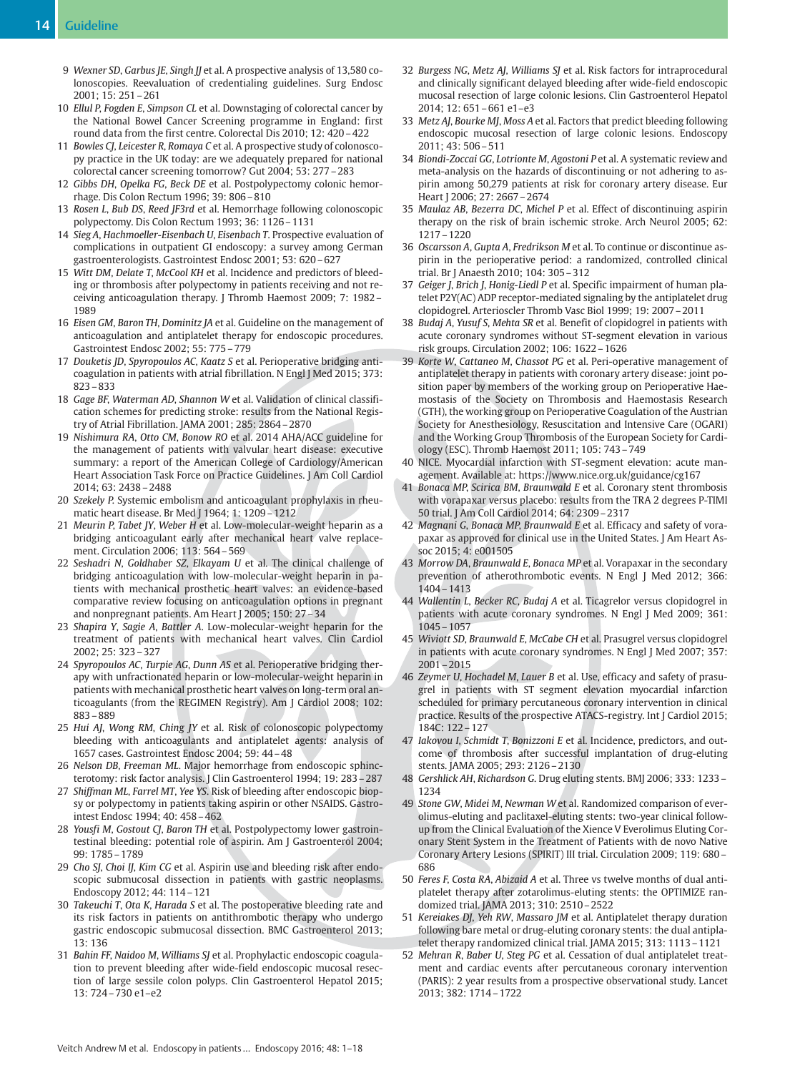- 9 Wexner SD, Garbus JE, Singh JJ et al. A prospective analysis of 13,580 colonoscopies. Reevaluation of credentialing guidelines. Surg Endosc 2001; 15: 251–261
- 10 Ellul P, Fogden E, Simpson CL et al. Downstaging of colorectal cancer by the National Bowel Cancer Screening programme in England: first round data from the first centre. Colorectal Dis 2010; 12: 420–422
- 11 Bowles CJ, Leicester R, Romaya C et al. A prospective study of colonoscopy practice in the UK today: are we adequately prepared for national colorectal cancer screening tomorrow? Gut 2004; 53: 277–283
- 12 Gibbs DH, Opelka FG, Beck DE et al. Postpolypectomy colonic hemorrhage. Dis Colon Rectum 1996; 39: 806–810
- 13 Rosen L, Bub DS, Reed JF3rd et al. Hemorrhage following colonoscopic polypectomy. Dis Colon Rectum 1993; 36: 1126–1131
- 14 Sieg A, Hachmoeller-Eisenbach U, Eisenbach T. Prospective evaluation of complications in outpatient GI endoscopy: a survey among German gastroenterologists. Gastrointest Endosc 2001; 53: 620–627
- 15 Witt DM, Delate T, McCool KH et al. Incidence and predictors of bleeding or thrombosis after polypectomy in patients receiving and not receiving anticoagulation therapy. J Thromb Haemost 2009; 7: 1982– 1989
- 16 Eisen GM, Baron TH, Dominitz JA et al. Guideline on the management of anticoagulation and antiplatelet therapy for endoscopic procedures. Gastrointest Endosc 2002; 55: 775–779
- 17 Douketis JD, Spyropoulos AC, Kaatz S et al. Perioperative bridging anticoagulation in patients with atrial fibrillation. N Engl J Med 2015; 373: 823–833
- 18 Gage BF, Waterman AD, Shannon W et al. Validation of clinical classification schemes for predicting stroke: results from the National Registry of Atrial Fibrillation. JAMA 2001; 285: 2864–2870
- 19 Nishimura RA, Otto CM, Bonow RO et al. 2014 AHA/ACC guideline for the management of patients with valvular heart disease: executive summary: a report of the American College of Cardiology/American Heart Association Task Force on Practice Guidelines. J Am Coll Cardiol 2014; 63: 2438–2488
- 20 Szekely P. Systemic embolism and anticoagulant prophylaxis in rheumatic heart disease. Br Med J 1964; 1: 1209–1212
- 21 Meurin P, Tabet JY, Weber H et al. Low-molecular-weight heparin as a bridging anticoagulant early after mechanical heart valve replacement. Circulation 2006; 113: 564–569
- 22 Seshadri N, Goldhaber SZ, Elkayam U et al. The clinical challenge of bridging anticoagulation with low-molecular-weight heparin in patients with mechanical prosthetic heart valves: an evidence-based comparative review focusing on anticoagulation options in pregnant and nonpregnant patients. Am Heart J 2005; 150: 27–34
- 23 Shapira Y, Sagie A, Battler A. Low-molecular-weight heparin for the treatment of patients with mechanical heart valves. Clin Cardiol 2002; 25: 323–327
- 24 Spyropoulos AC, Turpie AG, Dunn AS et al. Perioperative bridging therapy with unfractionated heparin or low-molecular-weight heparin in patients with mechanical prosthetic heart valves on long-term oral anticoagulants (from the REGIMEN Registry). Am J Cardiol 2008; 102: 883–889
- 25 Hui AJ, Wong RM, Ching JY et al. Risk of colonoscopic polypectomy bleeding with anticoagulants and antiplatelet agents: analysis of 1657 cases. Gastrointest Endosc 2004; 59: 44–48
- 26 Nelson DB, Freeman ML. Major hemorrhage from endoscopic sphincterotomy: risk factor analysis. J Clin Gastroenterol 1994; 19: 283–287
- 27 Shiffman ML, Farrel MT, Yee YS. Risk of bleeding after endoscopic biopsy or polypectomy in patients taking aspirin or other NSAIDS. Gastrointest Endosc 1994; 40: 458–462
- 28 Yousfi M, Gostout CJ, Baron TH et al. Postpolypectomy lower gastrointestinal bleeding: potential role of aspirin. Am J Gastroenterol 2004; 99: 1785–1789
- 29 Cho SJ, Choi IJ, Kim CG et al. Aspirin use and bleeding risk after endoscopic submucosal dissection in patients with gastric neoplasms. Endoscopy 2012; 44: 114–121
- 30 Takeuchi T, Ota K, Harada S et al. The postoperative bleeding rate and its risk factors in patients on antithrombotic therapy who undergo gastric endoscopic submucosal dissection. BMC Gastroenterol 2013; 13: 136
- 31 Bahin FF, Naidoo M, Williams SJ et al. Prophylactic endoscopic coagulation to prevent bleeding after wide-field endoscopic mucosal resection of large sessile colon polyps. Clin Gastroenterol Hepatol 2015; 13: 724–730 e1–e2
- 32 Burgess NG, Metz AJ, Williams SJ et al. Risk factors for intraprocedural and clinically significant delayed bleeding after wide-field endoscopic mucosal resection of large colonic lesions. Clin Gastroenterol Hepatol 2014; 12: 651–661 e1–e3
- 33 Metz AJ, Bourke MJ, Moss A et al. Factors that predict bleeding following endoscopic mucosal resection of large colonic lesions. Endoscopy 2011; 43: 506–511
- 34 Biondi-Zoccai GG, Lotrionte M, Agostoni P et al. A systematic review and meta-analysis on the hazards of discontinuing or not adhering to aspirin among 50,279 patients at risk for coronary artery disease. Eur Heart J 2006; 27: 2667–2674
- 35 Maulaz AB, Bezerra DC, Michel P et al. Effect of discontinuing aspirin therapy on the risk of brain ischemic stroke. Arch Neurol 2005; 62: 1217–1220
- 36 Oscarsson A, Gupta A, Fredrikson M et al. To continue or discontinue aspirin in the perioperative period: a randomized, controlled clinical trial. Br J Anaesth 2010; 104: 305–312
- 37 Geiger J, Brich J, Honig-Liedl P et al. Specific impairment of human platelet P2Y(AC) ADP receptor-mediated signaling by the antiplatelet drug clopidogrel. Arterioscler Thromb Vasc Biol 1999; 19: 2007–2011
- 38 Budaj A, Yusuf S, Mehta SR et al. Benefit of clopidogrel in patients with acute coronary syndromes without ST-segment elevation in various risk groups. Circulation 2002; 106: 1622–1626
- 39 Korte W, Cattaneo M, Chassot PG et al. Peri-operative management of antiplatelet therapy in patients with coronary artery disease: joint position paper by members of the working group on Perioperative Haemostasis of the Society on Thrombosis and Haemostasis Research (GTH), the working group on Perioperative Coagulation of the Austrian Society for Anesthesiology, Resuscitation and Intensive Care (OGARI) and the Working Group Thrombosis of the European Society for Cardiology (ESC). Thromb Haemost 2011; 105: 743–749
- 40 NICE. Myocardial infarction with ST-segment elevation: acute management. Available at: https://www.nice.org.uk/guidance/cg167
- 41 Bonaca MP, Scirica BM, Braunwald E et al. Coronary stent thrombosis with vorapaxar versus placebo: results from the TRA 2 degrees P-TIMI 50 trial. J Am Coll Cardiol 2014; 64: 2309–2317
- 42 Magnani G, Bonaca MP, Braunwald E et al. Efficacy and safety of vorapaxar as approved for clinical use in the United States. J Am Heart Assoc 2015; 4: e001505
- 43 Morrow DA, Braunwald E, Bonaca MP et al. Vorapaxar in the secondary prevention of atherothrombotic events. N Engl J Med 2012; 366: 1404–1413
- 44 Wallentin L, Becker RC, Budaj A et al. Ticagrelor versus clopidogrel in patients with acute coronary syndromes. N Engl J Med 2009; 361: 1045–1057
- 45 Wiviott SD, Braunwald E, McCabe CH et al. Prasugrel versus clopidogrel in patients with acute coronary syndromes. N Engl J Med 2007; 357: 2001–2015
- 46 Zeymer U, Hochadel M, Lauer B et al. Use, efficacy and safety of prasugrel in patients with ST segment elevation myocardial infarction scheduled for primary percutaneous coronary intervention in clinical practice. Results of the prospective ATACS-registry. Int J Cardiol 2015; 184C: 122–127
- 47 Iakovou I, Schmidt T, Bonizzoni E et al. Incidence, predictors, and outcome of thrombosis after successful implantation of drug-eluting stents. JAMA 2005; 293: 2126–2130
- 48 Gershlick AH, Richardson G. Drug eluting stents. BMJ 2006; 333: 1233– 1234
- 49 Stone GW, Midei M, Newman W et al. Randomized comparison of everolimus-eluting and paclitaxel-eluting stents: two-year clinical followup from the Clinical Evaluation of the Xience V Everolimus Eluting Coronary Stent System in the Treatment of Patients with de novo Native Coronary Artery Lesions (SPIRIT) III trial. Circulation 2009; 119: 680– 686
- 50 Feres F, Costa RA, Abizaid A et al. Three vs twelve months of dual antiplatelet therapy after zotarolimus-eluting stents: the OPTIMIZE randomized trial. JAMA 2013; 310: 2510–2522
- 51 Kereiakes DJ, Yeh RW, Massaro JM et al. Antiplatelet therapy duration following bare metal or drug-eluting coronary stents: the dual antiplatelet therapy randomized clinical trial. JAMA 2015; 313: 1113–1121
- 52 Mehran R, Baber U, Steg PG et al. Cessation of dual antiplatelet treatment and cardiac events after percutaneous coronary intervention (PARIS): 2 year results from a prospective observational study. Lancet 2013; 382: 1714–1722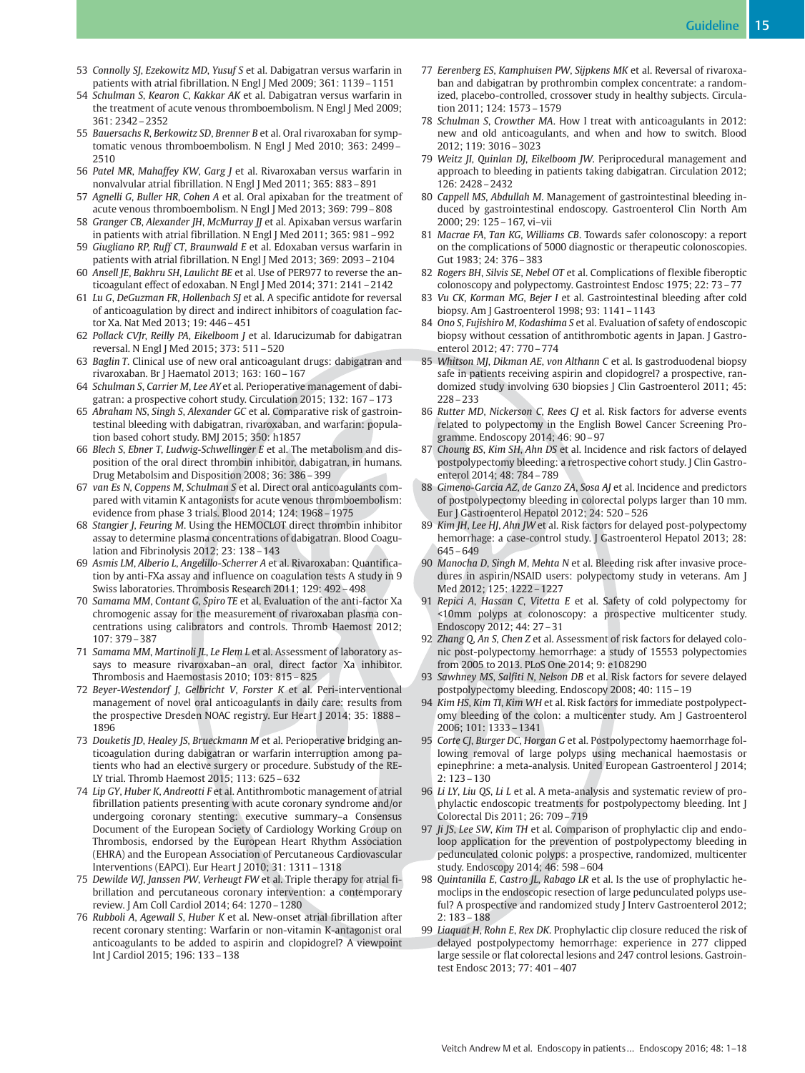- 53 Connolly SJ, Ezekowitz MD, Yusuf S et al. Dabigatran versus warfarin in patients with atrial fibrillation. N Engl J Med 2009; 361: 1139–1151
- 54 Schulman S, Kearon C, Kakkar AK et al. Dabigatran versus warfarin in the treatment of acute venous thromboembolism. N Engl J Med 2009; 361: 2342–2352
- 55 Bauersachs R, Berkowitz SD, Brenner B et al. Oral rivaroxaban for symptomatic venous thromboembolism. N Engl J Med 2010; 363: 2499– 2510
- 56 Patel MR, Mahaffey KW, Garg J et al. Rivaroxaban versus warfarin in nonvalvular atrial fibrillation. N Engl J Med 2011; 365: 883–891
- 57 Agnelli G, Buller HR, Cohen A et al. Oral apixaban for the treatment of acute venous thromboembolism. N Engl J Med 2013; 369: 799–808
- 58 Granger CB, Alexander JH, McMurray JJ et al. Apixaban versus warfarin in patients with atrial fibrillation. N Engl J Med 2011; 365: 981–992
- 59 Giugliano RP, Ruff CT, Braunwald E et al. Edoxaban versus warfarin in patients with atrial fibrillation. N Engl J Med 2013; 369: 2093–2104
- 60 Ansell JE, Bakhru SH, Laulicht BE et al. Use of PER977 to reverse the anticoagulant effect of edoxaban. N Engl J Med 2014; 371: 2141–2142
- 61 Lu G, DeGuzman FR, Hollenbach SJ et al. A specific antidote for reversal of anticoagulation by direct and indirect inhibitors of coagulation factor Xa. Nat Med 2013; 19: 446–451
- 62 Pollack CVJr, Reilly PA, Eikelboom J et al. Idarucizumab for dabigatran reversal. N Engl J Med 2015; 373: 511–520
- 63 Baglin T. Clinical use of new oral anticoagulant drugs: dabigatran and rivaroxaban. Br J Haematol 2013; 163: 160–167
- 64 Schulman S, Carrier M, Lee AY et al. Perioperative management of dabigatran: a prospective cohort study. Circulation 2015; 132: 167–173
- 65 Abraham NS, Singh S, Alexander GC et al. Comparative risk of gastrointestinal bleeding with dabigatran, rivaroxaban, and warfarin: population based cohort study. BMJ 2015; 350: h1857
- 66 Blech S, Ebner T, Ludwig-Schwellinger E et al. The metabolism and disposition of the oral direct thrombin inhibitor, dabigatran, in humans. Drug Metabolsim and Disposition 2008; 36: 386–399
- 67 van Es N, Coppens M, Schulman S et al. Direct oral anticoagulants compared with vitamin K antagonists for acute venous thromboembolism: evidence from phase 3 trials. Blood 2014; 124: 1968–1975
- 68 Stangier J, Feuring M. Using the HEMOCLOT direct thrombin inhibitor assay to determine plasma concentrations of dabigatran. Blood Coagulation and Fibrinolysis 2012; 23: 138–143
- 69 Asmis LM, Alberio L, Angelillo-Scherrer A et al. Rivaroxaban: Quantification by anti-FXa assay and influence on coagulation tests A study in 9 Swiss laboratories. Thrombosis Research 2011; 129: 492–498
- 70 Samama MM, Contant G, Spiro TE et al. Evaluation of the anti-factor Xa chromogenic assay for the measurement of rivaroxaban plasma concentrations using calibrators and controls. Thromb Haemost 2012; 107: 379–387
- 71 Samama MM, Martinoli JL, Le Flem L et al. Assessment of laboratory assays to measure rivaroxaban–an oral, direct factor Xa inhibitor. Thrombosis and Haemostasis 2010; 103: 815–825
- 72 Beyer-Westendorf J, Gelbricht V, Forster K et al. Peri-interventional management of novel oral anticoagulants in daily care: results from the prospective Dresden NOAC registry. Eur Heart J 2014; 35: 1888– 1896
- 73 Douketis JD, Healey JS, Brueckmann M et al. Perioperative bridging anticoagulation during dabigatran or warfarin interruption among patients who had an elective surgery or procedure. Substudy of the RE-LY trial. Thromb Haemost 2015; 113: 625–632
- 74 Lip GY, Huber K, Andreotti F et al. Antithrombotic management of atrial fibrillation patients presenting with acute coronary syndrome and/or undergoing coronary stenting: executive summary–a Consensus Document of the European Society of Cardiology Working Group on Thrombosis, endorsed by the European Heart Rhythm Association (EHRA) and the European Association of Percutaneous Cardiovascular Interventions (EAPCI). Eur Heart J 2010; 31: 1311–1318
- 75 Dewilde WJ, Janssen PW, Verheugt FW et al. Triple therapy for atrial fibrillation and percutaneous coronary intervention: a contemporary review. J Am Coll Cardiol 2014; 64: 1270–1280
- 76 Rubboli A, Agewall S, Huber K et al. New-onset atrial fibrillation after recent coronary stenting: Warfarin or non-vitamin K-antagonist oral anticoagulants to be added to aspirin and clopidogrel? A viewpoint Int J Cardiol 2015; 196: 133–138
- 77 Eerenberg ES, Kamphuisen PW, Sijpkens MK et al. Reversal of rivaroxaban and dabigatran by prothrombin complex concentrate: a randomized, placebo-controlled, crossover study in healthy subjects. Circulation 2011; 124: 1573–1579
- 78 Schulman S, Crowther MA. How I treat with anticoagulants in 2012: new and old anticoagulants, and when and how to switch. Blood 2012; 119: 3016–3023
- 79 Weitz JI, Quinlan DJ, Eikelboom JW. Periprocedural management and approach to bleeding in patients taking dabigatran. Circulation 2012; 126: 2428–2432
- 80 Cappell MS, Abdullah M. Management of gastrointestinal bleeding induced by gastrointestinal endoscopy. Gastroenterol Clin North Am 2000; 29: 125–167, vi–vii
- 81 Macrae FA, Tan KG, Williams CB. Towards safer colonoscopy: a report on the complications of 5000 diagnostic or therapeutic colonoscopies. Gut 1983; 24: 376–383
- 82 Rogers BH, Silvis SE, Nebel OT et al. Complications of flexible fiberoptic colonoscopy and polypectomy. Gastrointest Endosc 1975; 22: 73–77
- 83 Vu CK, Korman MG, Bejer I et al. Gastrointestinal bleeding after cold biopsy. Am J Gastroenterol 1998; 93: 1141–1143
- 84 Ono S, Fujishiro M, Kodashima S et al. Evaluation of safety of endoscopic biopsy without cessation of antithrombotic agents in Japan. J Gastroenterol 2012; 47: 770–774
- 85 Whitson MJ, Dikman AE, von Althann C et al. Is gastroduodenal biopsy safe in patients receiving aspirin and clopidogrel? a prospective, randomized study involving 630 biopsies J Clin Gastroenterol 2011; 45: 228–233
- 86 Rutter MD, Nickerson C, Rees CJ et al. Risk factors for adverse events related to polypectomy in the English Bowel Cancer Screening Programme. Endoscopy 2014; 46: 90–97
- 87 Choung BS, Kim SH, Ahn DS et al. Incidence and risk factors of delayed postpolypectomy bleeding: a retrospective cohort study. J Clin Gastroenterol 2014; 48: 784–789
- 88 Gimeno-Garcia AZ, de Ganzo ZA, Sosa AJ et al. Incidence and predictors of postpolypectomy bleeding in colorectal polyps larger than 10 mm. Eur J Gastroenterol Hepatol 2012; 24: 520–526
- 89 Kim JH, Lee HJ, Ahn JW et al. Risk factors for delayed post-polypectomy hemorrhage: a case-control study. J Gastroenterol Hepatol 2013; 28: 645–649
- 90 Manocha D, Singh M, Mehta N et al. Bleeding risk after invasive procedures in aspirin/NSAID users: polypectomy study in veterans. Am J Med 2012; 125: 1222–1227
- 91 Repici A, Hassan C, Vitetta E et al. Safety of cold polypectomy for <10mm polyps at colonoscopy: a prospective multicenter study. Endoscopy 2012; 44: 27–31
- 92 Zhang Q, An S, Chen Z et al. Assessment of risk factors for delayed colonic post-polypectomy hemorrhage: a study of 15553 polypectomies from 2005 to 2013. PLoS One 2014; 9: e108290
- 93 Sawhney MS, Salfiti N, Nelson DB et al. Risk factors for severe delayed postpolypectomy bleeding. Endoscopy 2008; 40: 115–19
- 94 Kim HS, Kim TI, Kim WH et al. Risk factors for immediate postpolypectomy bleeding of the colon: a multicenter study. Am J Gastroenterol 2006; 101: 1333–1341
- 95 Corte CJ, Burger DC, Horgan G et al. Postpolypectomy haemorrhage following removal of large polyps using mechanical haemostasis or epinephrine: a meta-analysis. United European Gastroenterol J 2014; 2: 123–130
- 96 Li LY, Liu QS, Li L et al. A meta-analysis and systematic review of prophylactic endoscopic treatments for postpolypectomy bleeding. Int J Colorectal Dis 2011; 26: 709–719
- 97 Ji JS, Lee SW, Kim TH et al. Comparison of prophylactic clip and endoloop application for the prevention of postpolypectomy bleeding in pedunculated colonic polyps: a prospective, randomized, multicenter study. Endoscopy 2014; 46: 598–604
- 98 Quintanilla E, Castro JL, Rabago LR et al. Is the use of prophylactic hemoclips in the endoscopic resection of large pedunculated polyps useful? A prospective and randomized study J Interv Gastroenterol 2012; 2: 183–188
- 99 Liaquat H, Rohn E, Rex DK. Prophylactic clip closure reduced the risk of delayed postpolypectomy hemorrhage: experience in 277 clipped large sessile or flat colorectal lesions and 247 control lesions. Gastrointest Endosc 2013; 77: 401–407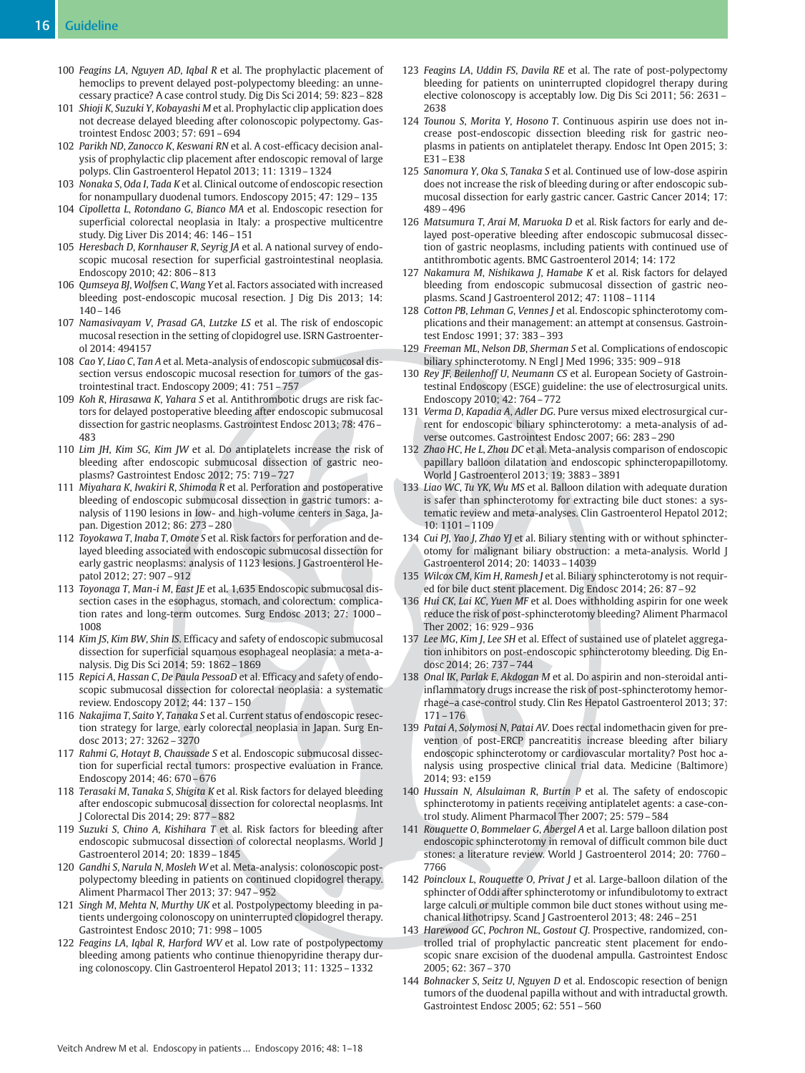- 100 Feagins LA, Nguyen AD, Iqbal R et al. The prophylactic placement of hemoclips to prevent delayed post-polypectomy bleeding: an unnecessary practice? A case control study. Dig Dis Sci 2014; 59: 823–828
- 101 Shioji K, Suzuki Y, Kobayashi M et al. Prophylactic clip application does not decrease delayed bleeding after colonoscopic polypectomy. Gastrointest Endosc 2003; 57: 691–694
- 102 Parikh ND, Zanocco K, Keswani RN et al. A cost-efficacy decision analysis of prophylactic clip placement after endoscopic removal of large polyps. Clin Gastroenterol Hepatol 2013; 11: 1319–1324
- 103 Nonaka S, Oda I, Tada K et al. Clinical outcome of endoscopic resection for nonampullary duodenal tumors. Endoscopy 2015; 47: 129–135
- 104 Cipolletta L, Rotondano G, Bianco MA et al. Endoscopic resection for superficial colorectal neoplasia in Italy: a prospective multicentre study. Dig Liver Dis 2014; 46: 146–151
- 105 Heresbach D, Kornhauser R, Seyrig JA et al. A national survey of endoscopic mucosal resection for superficial gastrointestinal neoplasia. Endoscopy 2010; 42: 806–813
- 106 Qumseya BJ, Wolfsen C, Wang Yet al. Factors associated with increased bleeding post-endoscopic mucosal resection. J Dig Dis 2013; 14: 140–146
- 107 Namasivayam V, Prasad GA, Lutzke LS et al. The risk of endoscopic mucosal resection in the setting of clopidogrel use. ISRN Gastroenterol 2014: 494157
- 108 Cao Y, Liao C, Tan A et al. Meta-analysis of endoscopic submucosal dissection versus endoscopic mucosal resection for tumors of the gastrointestinal tract. Endoscopy 2009; 41: 751–757
- 109 Koh R, Hirasawa K, Yahara S et al. Antithrombotic drugs are risk factors for delayed postoperative bleeding after endoscopic submucosal dissection for gastric neoplasms. Gastrointest Endosc 2013; 78: 476– 483
- 110 Lim JH, Kim SG, Kim JW et al. Do antiplatelets increase the risk of bleeding after endoscopic submucosal dissection of gastric neoplasms? Gastrointest Endosc 2012; 75: 719–727
- 111 Miyahara K, Iwakiri R, Shimoda R et al. Perforation and postoperative bleeding of endoscopic submucosal dissection in gastric tumors: analysis of 1190 lesions in low- and high-volume centers in Saga, Japan. Digestion 2012; 86: 273–280
- 112 Toyokawa T, Inaba T, Omote S et al. Risk factors for perforation and delayed bleeding associated with endoscopic submucosal dissection for early gastric neoplasms: analysis of 1123 lesions. J Gastroenterol Hepatol 2012; 27: 907–912
- 113 Toyonaga T, Man-i M, East JE et al. 1,635 Endoscopic submucosal dissection cases in the esophagus, stomach, and colorectum: complication rates and long-term outcomes. Surg Endosc 2013; 27: 1000– 1008
- 114 Kim JS, Kim BW, Shin IS. Efficacy and safety of endoscopic submucosal dissection for superficial squamous esophageal neoplasia: a meta-analysis. Dig Dis Sci 2014; 59: 1862–1869
- 115 Repici A, Hassan C, De Paula PessoaD et al. Efficacy and safety of endoscopic submucosal dissection for colorectal neoplasia: a systematic review. Endoscopy 2012; 44: 137–150
- 116 Nakajima T, Saito Y, Tanaka S et al. Current status of endoscopic resection strategy for large, early colorectal neoplasia in Japan. Surg Endosc 2013; 27: 3262–3270
- 117 Rahmi G, Hotayt B, Chaussade S et al. Endoscopic submucosal dissection for superficial rectal tumors: prospective evaluation in France. Endoscopy 2014; 46: 670–676
- 118 Terasaki M, Tanaka S, Shigita K et al. Risk factors for delayed bleeding after endoscopic submucosal dissection for colorectal neoplasms. Int J Colorectal Dis 2014; 29: 877–882
- 119 Suzuki S, Chino A, Kishihara T et al. Risk factors for bleeding after endoscopic submucosal dissection of colorectal neoplasms. World J Gastroenterol 2014; 20: 1839–1845
- 120 Gandhi S, Narula N, Mosleh W et al. Meta-analysis: colonoscopic postpolypectomy bleeding in patients on continued clopidogrel therapy. Aliment Pharmacol Ther 2013; 37: 947–952
- 121 Singh M, Mehta N, Murthy UK et al. Postpolypectomy bleeding in patients undergoing colonoscopy on uninterrupted clopidogrel therapy. Gastrointest Endosc 2010; 71: 998–1005
- 122 Feagins LA, Iqbal R, Harford WV et al. Low rate of postpolypectomy bleeding among patients who continue thienopyridine therapy during colonoscopy. Clin Gastroenterol Hepatol 2013; 11: 1325–1332
- 123 Feagins LA, Uddin FS, Davila RE et al. The rate of post-polypectomy bleeding for patients on uninterrupted clopidogrel therapy during elective colonoscopy is acceptably low. Dig Dis Sci 2011; 56: 2631– 2638
- 124 Tounou S, Morita Y, Hosono T. Continuous aspirin use does not increase post-endoscopic dissection bleeding risk for gastric neoplasms in patients on antiplatelet therapy. Endosc Int Open 2015; 3: E31–E38
- 125 Sanomura Y, Oka S, Tanaka S et al. Continued use of low-dose aspirin does not increase the risk of bleeding during or after endoscopic submucosal dissection for early gastric cancer. Gastric Cancer 2014; 17: 489–496
- 126 Matsumura T, Arai M, Maruoka D et al. Risk factors for early and delayed post-operative bleeding after endoscopic submucosal dissection of gastric neoplasms, including patients with continued use of antithrombotic agents. BMC Gastroenterol 2014; 14: 172
- 127 Nakamura M, Nishikawa J, Hamabe K et al. Risk factors for delayed bleeding from endoscopic submucosal dissection of gastric neoplasms. Scand J Gastroenterol 2012; 47: 1108–1114
- 128 Cotton PB, Lehman G, Vennes J et al. Endoscopic sphincterotomy complications and their management: an attempt at consensus. Gastrointest Endosc 1991; 37: 383–393
- 129 Freeman ML, Nelson DB, Sherman S et al. Complications of endoscopic biliary sphincterotomy. N Engl J Med 1996; 335: 909–918
- 130 Rey JF, Beilenhoff U, Neumann CS et al. European Society of Gastrointestinal Endoscopy (ESGE) guideline: the use of electrosurgical units. Endoscopy 2010; 42: 764–772
- 131 Verma D, Kapadia A, Adler DG. Pure versus mixed electrosurgical current for endoscopic biliary sphincterotomy: a meta-analysis of adverse outcomes. Gastrointest Endosc 2007; 66: 283–290
- 132 Zhao HC, He L, Zhou DC et al. Meta-analysis comparison of endoscopic papillary balloon dilatation and endoscopic sphincteropapillotomy. World J Gastroenterol 2013; 19: 3883–3891
- 133 Liao WC, Tu YK, Wu MS et al. Balloon dilation with adequate duration is safer than sphincterotomy for extracting bile duct stones: a systematic review and meta-analyses. Clin Gastroenterol Hepatol 2012; 10: 1101–1109
- 134 Cui PJ, Yao J, Zhao YJ et al. Biliary stenting with or without sphincterotomy for malignant biliary obstruction: a meta-analysis. World J Gastroenterol 2014; 20: 14033–14039
- 135 Wilcox CM, Kim H, Ramesh J et al. Biliary sphincterotomy is not required for bile duct stent placement. Dig Endosc 2014; 26: 87–92
- 136 Hui CK, Lai KC, Yuen MF et al. Does withholding aspirin for one week reduce the risk of post-sphincterotomy bleeding? Aliment Pharmacol Ther 2002; 16: 929–936
- 137 Lee MG, Kim J, Lee SH et al. Effect of sustained use of platelet aggregation inhibitors on post-endoscopic sphincterotomy bleeding. Dig Endosc 2014; 26: 737–744
- 138 Onal IK, Parlak E, Akdogan M et al. Do aspirin and non-steroidal antiinflammatory drugs increase the risk of post-sphincterotomy hemorrhage–a case-control study. Clin Res Hepatol Gastroenterol 2013; 37: 171–176
- 139 Patai A, Solymosi N, Patai AV. Does rectal indomethacin given for prevention of post-ERCP pancreatitis increase bleeding after biliary endoscopic sphincterotomy or cardiovascular mortality? Post hoc analysis using prospective clinical trial data. Medicine (Baltimore) 2014; 93: e159
- 140 Hussain N, Alsulaiman R, Burtin P et al. The safety of endoscopic sphincterotomy in patients receiving antiplatelet agents: a case-control study. Aliment Pharmacol Ther 2007; 25: 579–584
- 141 Rouquette O, Bommelaer G, Abergel A et al. Large balloon dilation post endoscopic sphincterotomy in removal of difficult common bile duct stones: a literature review. World J Gastroenterol 2014; 20: 7760– 7766
- 142 Poincloux L, Rouquette O, Privat J et al. Large-balloon dilation of the sphincter of Oddi after sphincterotomy or infundibulotomy to extract large calculi or multiple common bile duct stones without using mechanical lithotripsy. Scand J Gastroenterol 2013; 48: 246–251
- 143 Harewood GC, Pochron NL, Gostout CJ. Prospective, randomized, controlled trial of prophylactic pancreatic stent placement for endoscopic snare excision of the duodenal ampulla. Gastrointest Endosc 2005; 62: 367–370
- 144 Bohnacker S, Seitz U, Nguyen D et al. Endoscopic resection of benign tumors of the duodenal papilla without and with intraductal growth. Gastrointest Endosc 2005; 62: 551–560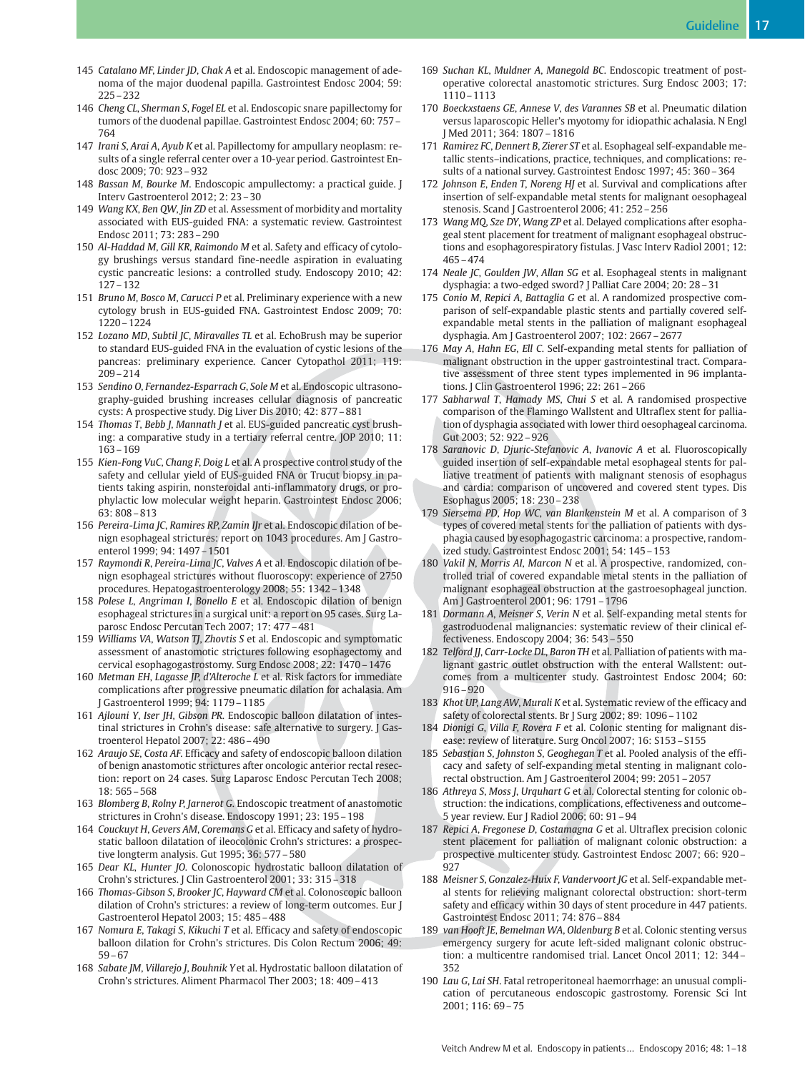- 145 Catalano MF, Linder JD, Chak A et al. Endoscopic management of adenoma of the major duodenal papilla. Gastrointest Endosc 2004; 59: 225–232
- 146 Cheng CL, Sherman S, Fogel EL et al. Endoscopic snare papillectomy for tumors of the duodenal papillae. Gastrointest Endosc 2004; 60: 757– 764
- 147 Irani S, Arai A, Ayub K et al. Papillectomy for ampullary neoplasm: results of a single referral center over a 10-year period. Gastrointest Endosc 2009; 70: 923–932
- 148 Bassan M, Bourke M. Endoscopic ampullectomy: a practical guide. J Interv Gastroenterol 2012; 2: 23–30
- 149 Wang KX, Ben QW, Jin ZD et al. Assessment of morbidity and mortality associated with EUS-guided FNA: a systematic review. Gastrointest Endosc 2011; 73: 283–290
- 150 Al-Haddad M, Gill KR, Raimondo M et al. Safety and efficacy of cytology brushings versus standard fine-needle aspiration in evaluating cystic pancreatic lesions: a controlled study. Endoscopy 2010; 42: 127–132
- 151 Bruno M, Bosco M, Carucci P et al. Preliminary experience with a new cytology brush in EUS-guided FNA. Gastrointest Endosc 2009; 70: 1220–1224
- 152 Lozano MD, Subtil JC, Miravalles TL et al. EchoBrush may be superior to standard EUS-guided FNA in the evaluation of cystic lesions of the pancreas: preliminary experience. Cancer Cytopathol 2011; 119: 209–214
- 153 Sendino O, Fernandez-Esparrach G, Sole M et al. Endoscopic ultrasonography-guided brushing increases cellular diagnosis of pancreatic cysts: A prospective study. Dig Liver Dis 2010; 42: 877–881
- 154 Thomas T, Bebb J, Mannath J et al. EUS-guided pancreatic cyst brushing: a comparative study in a tertiary referral centre. JOP 2010; 11: 163–169
- 155 Kien-Fong VuC, Chang F, Doig L et al. A prospective control study of the safety and cellular yield of EUS-guided FNA or Trucut biopsy in patients taking aspirin, nonsteroidal anti-inflammatory drugs, or prophylactic low molecular weight heparin. Gastrointest Endosc 2006; 63: 808–813
- 156 Pereira-Lima JC, Ramires RP, Zamin IJr et al. Endoscopic dilation of benign esophageal strictures: report on 1043 procedures. Am J Gastroenterol 1999; 94: 1497–1501
- 157 Raymondi R, Pereira-Lima JC, Valves A et al. Endoscopic dilation of benign esophageal strictures without fluoroscopy: experience of 2750 procedures. Hepatogastroenterology 2008; 55: 1342–1348
- 158 Polese L, Angriman I, Bonello E et al. Endoscopic dilation of benign esophageal strictures in a surgical unit: a report on 95 cases. Surg Laparosc Endosc Percutan Tech 2007; 17: 477–481
- 159 Williams VA, Watson TJ, Zhovtis S et al. Endoscopic and symptomatic assessment of anastomotic strictures following esophagectomy and cervical esophagogastrostomy. Surg Endosc 2008; 22: 1470–1476
- 160 Metman EH, Lagasse JP, d'Alteroche L et al. Risk factors for immediate complications after progressive pneumatic dilation for achalasia. Am J Gastroenterol 1999; 94: 1179–1185
- 161 Ajlouni Y, Iser JH, Gibson PR. Endoscopic balloon dilatation of intestinal strictures in Crohn's disease: safe alternative to surgery. J Gastroenterol Hepatol 2007; 22: 486–490
- 162 Araujo SE, Costa AF. Efficacy and safety of endoscopic balloon dilation of benign anastomotic strictures after oncologic anterior rectal resection: report on 24 cases. Surg Laparosc Endosc Percutan Tech 2008; 18: 565–568
- 163 Blomberg B, Rolny P, Jarnerot G. Endoscopic treatment of anastomotic strictures in Crohn's disease. Endoscopy 1991; 23: 195–198
- 164 Couckuyt H, Gevers AM, Coremans G et al. Efficacy and safety of hydrostatic balloon dilatation of ileocolonic Crohn's strictures: a prospective longterm analysis. Gut 1995; 36: 577–580
- 165 Dear KL, Hunter JO. Colonoscopic hydrostatic balloon dilatation of Crohn's strictures. J Clin Gastroenterol 2001; 33: 315–318
- 166 Thomas-Gibson S, Brooker JC, Hayward CM et al. Colonoscopic balloon dilation of Crohn's strictures: a review of long-term outcomes. Eur J Gastroenterol Hepatol 2003; 15: 485–488
- 167 Nomura E, Takagi S, Kikuchi T et al. Efficacy and safety of endoscopic balloon dilation for Crohn's strictures. Dis Colon Rectum 2006; 49: 59–67
- 168 Sabate JM, Villarejo J, Bouhnik Y et al. Hydrostatic balloon dilatation of Crohn's strictures. Aliment Pharmacol Ther 2003; 18: 409–413
- 169 Suchan KL, Muldner A, Manegold BC. Endoscopic treatment of postoperative colorectal anastomotic strictures. Surg Endosc 2003; 17: 1110–1113
- 170 Boeckxstaens GE, Annese V, des Varannes SB et al. Pneumatic dilation versus laparoscopic Heller's myotomy for idiopathic achalasia. N Engl J Med 2011; 364: 1807–1816
- 171 Ramirez FC, Dennert B, Zierer ST et al. Esophageal self-expandable metallic stents–indications, practice, techniques, and complications: results of a national survey. Gastrointest Endosc 1997; 45: 360–364
- 172 Johnson E, Enden T, Noreng HJ et al. Survival and complications after insertion of self-expandable metal stents for malignant oesophageal stenosis. Scand J Gastroenterol 2006; 41: 252–256
- 173 Wang MQ, Sze DY, Wang ZP et al. Delayed complications after esophageal stent placement for treatment of malignant esophageal obstructions and esophagorespiratory fistulas. J Vasc Interv Radiol 2001; 12: 465–474
- 174 Neale JC, Goulden JW, Allan SG et al. Esophageal stents in malignant dysphagia: a two-edged sword? J Palliat Care 2004; 20: 28–31
- 175 Conio M, Repici A, Battaglia G et al. A randomized prospective comparison of self-expandable plastic stents and partially covered selfexpandable metal stents in the palliation of malignant esophageal dysphagia. Am J Gastroenterol 2007; 102: 2667–2677
- 176 May A, Hahn EG, Ell C. Self-expanding metal stents for palliation of malignant obstruction in the upper gastrointestinal tract. Comparative assessment of three stent types implemented in 96 implantations. J Clin Gastroenterol 1996; 22: 261–266
- 177 Sabharwal T, Hamady MS, Chui S et al. A randomised prospective comparison of the Flamingo Wallstent and Ultraflex stent for palliation of dysphagia associated with lower third oesophageal carcinoma. Gut 2003; 52: 922–926
- 178 Saranovic D, Djuric-Stefanovic A, Ivanovic A et al. Fluoroscopically guided insertion of self-expandable metal esophageal stents for palliative treatment of patients with malignant stenosis of esophagus and cardia: comparison of uncovered and covered stent types. Dis Esophagus 2005; 18: 230–238
- 179 Siersema PD, Hop WC, van Blankenstein M et al. A comparison of 3 types of covered metal stents for the palliation of patients with dysphagia caused by esophagogastric carcinoma: a prospective, randomized study. Gastrointest Endosc 2001; 54: 145–153
- 180 Vakil N, Morris AI, Marcon N et al. A prospective, randomized, controlled trial of covered expandable metal stents in the palliation of malignant esophageal obstruction at the gastroesophageal junction. Am J Gastroenterol 2001; 96: 1791–1796
- 181 Dormann A, Meisner S, Verin N et al. Self-expanding metal stents for gastroduodenal malignancies: systematic review of their clinical effectiveness. Endoscopy 2004; 36: 543–550
- 182 Telford JJ, Carr-Locke DL, Baron TH et al. Palliation of patients with malignant gastric outlet obstruction with the enteral Wallstent: outcomes from a multicenter study. Gastrointest Endosc 2004; 60: 916–920
- 183 Khot UP, Lang AW, Murali K et al. Systematic review of the efficacy and safety of colorectal stents. Br J Surg 2002; 89: 1096–1102
- 184 Dionigi G, Villa F, Rovera F et al. Colonic stenting for malignant disease: review of literature. Surg Oncol 2007; 16: S153–S155
- 185 Sebastian S, Johnston S, Geoghegan T et al. Pooled analysis of the efficacy and safety of self-expanding metal stenting in malignant colorectal obstruction. Am J Gastroenterol 2004; 99: 2051–2057
- 186 Athreya S, Moss J, Urquhart G et al. Colorectal stenting for colonic obstruction: the indications, complications, effectiveness and outcome– 5 year review. Eur J Radiol 2006; 60: 91–94
- 187 Repici A, Fregonese D, Costamagna G et al. Ultraflex precision colonic stent placement for palliation of malignant colonic obstruction: a prospective multicenter study. Gastrointest Endosc 2007; 66: 920– 927
- 188 Meisner S, Gonzalez-Huix F, Vandervoort JG et al. Self-expandable metal stents for relieving malignant colorectal obstruction: short-term safety and efficacy within 30 days of stent procedure in 447 patients. Gastrointest Endosc 2011; 74: 876–884
- 189 van Hooft JE, Bemelman WA, Oldenburg B et al. Colonic stenting versus emergency surgery for acute left-sided malignant colonic obstruction: a multicentre randomised trial. Lancet Oncol 2011; 12: 344– 352
- 190 Lau G, Lai SH. Fatal retroperitoneal haemorrhage: an unusual complication of percutaneous endoscopic gastrostomy. Forensic Sci Int 2001; 116: 69–75